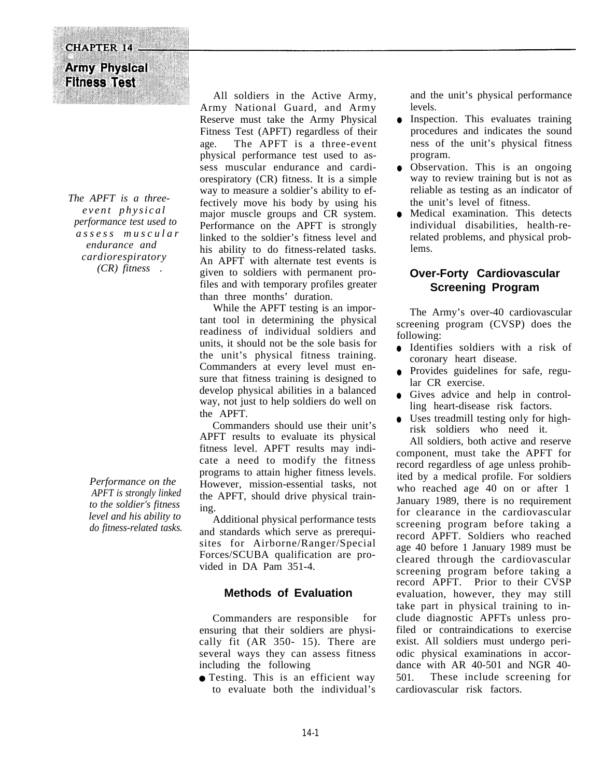# <span id="page-0-0"></span>CHAPTER 14. **Army Physical Fitness Test**

*The APFT is a three event physical performance test used to assess muscular endurance and cardiorespiratory (CR) fitness .* 

> *Performance on the APFT is strongly linked to the soldier's fitness level and his ability to do fitness-related tasks.*

All soldiers in the Active Army, Army National Guard, and Army Reserve must take the Army Physical Fitness Test (APFT) regardless of their age. The APFT is a three-event physical performance test used to assess muscular endurance and cardiorespiratory (CR) fitness. It is a simple way to measure a soldier's ability to effectively move his body by using his major muscle groups and CR system. Performance on the APFT is strongly linked to the soldier's fitness level and his ability to do fitness-related tasks. An APFT with alternate test events is given to soldiers with permanent profiles and with temporary profiles greater than three months' duration.

While the APFT testing is an important tool in determining the physical readiness of individual soldiers and units, it should not be the sole basis for the unit's physical fitness training. Commanders at every level must ensure that fitness training is designed to develop physical abilities in a balanced way, not just to help soldiers do well on the APFT.

Commanders should use their unit's APFT results to evaluate its physical fitness level. APFT results may indicate a need to modify the fitness programs to attain higher fitness levels. However, mission-essential tasks, not the APFT, should drive physical training.

Additional physical performance tests and standards which serve as prerequisites for Airborne/Ranger/Special Forces/SCUBA qualification are pro vided in DA Pam 351-4.

# **Methods of Evaluation**

Commanders are responsible for ensuring that their soldiers are physically fit (AR 350- 15). There are several ways they can assess fitness including the following

● Testing. This is an efficient way to evaluate both the individual's

and the unit's physical performance levels.

- Inspection. This evaluates training procedures and indicates the sound ness of the unit's physical fitness program.
- $\bullet$ Observation. This is an ongoing way to review training but is not as reliable as testing as an indicator of the unit's level of fitness.
- Medical examination. This detects individual disabilities, health-rerelated problems, and physical problems.

# **Over-Forty Cardiovascular Screening Program**

The Army's over-40 cardiovascular screening program (CVSP) does the following:

- Identifies soldiers with a risk of coronary heart disease.
- Provides guidelines for safe, regular CR exercise.
- Gives advice and help in controlling heart-disease risk factors.
- Uses treadmill testing only for highrisk soldiers who need it.

All soldiers, both active and reserve component, must take the APFT for record regardless of age unless prohibited by a medical profile. For soldiers who reached age 40 on or after 1 January 1989, there is no requirement for clearance in the cardiovascular screening program before taking a record APFT. Soldiers who reached age 40 before 1 January 1989 must be cleared through the cardiovascular screening program before taking a record APFT. Prior to their CVSP evaluation, however, they may still take part in physical training to include diagnostic APFTs unless profiled or contraindications to exercise exist. All soldiers must undergo periodic physical examinations in accordance with AR 40-501 and NGR 40- 501. These include screening for cardiovascular risk factors.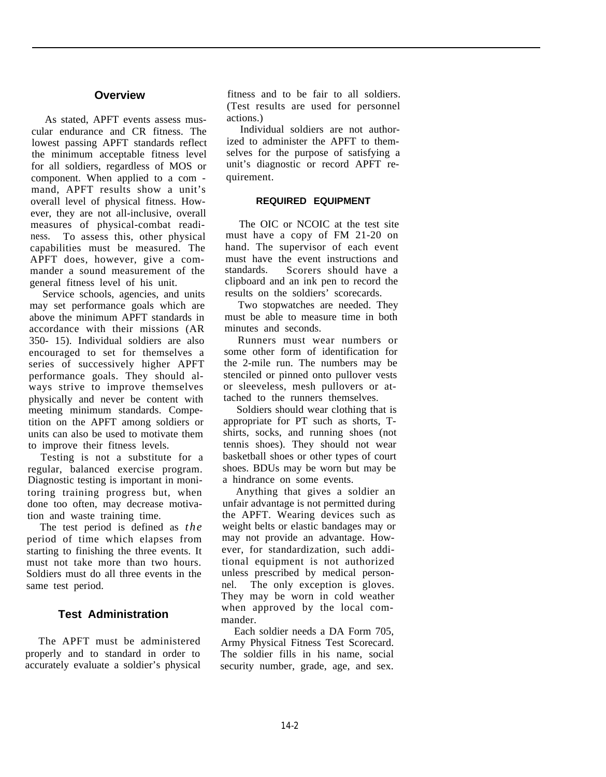# **Overview**

As stated, APFT events assess muscular endurance and CR fitness. The lowest passing APFT standards reflect the minimum acceptable fitness level for all soldiers, regardless of MOS or component. When applied to a com mand, APFT results show a unit's overall level of physical fitness. However, they are not all-inclusive, overall measures of physical-combat readiness. To assess this, other physical capabilities must be measured. The APFT does, however, give a commander a sound measurement of the general fitness level of his unit.

Service schools, agencies, and units may set performance goals which are above the minimum APFT standards in accordance with their missions (AR 350- 15). Individual soldiers are also encouraged to set for themselves a series of successively higher APFT performance goals. They should always strive to improve themselves physically and never be content with meeting minimum standards. Competition on the APFT among soldiers or units can also be used to motivate them to improve their fitness levels.

Testing is not a substitute for a regular, balanced exercise program. Diagnostic testing is important in monitoring training progress but, when done too often, may decrease motivation and waste training time.

The test period is defined as *the* period of time which elapses from starting to finishing the three events. It must not take more than two hours. Soldiers must do all three events in the same test period.

# **Test Administration**

The APFT must be administered properly and to standard in order to accurately evaluate a soldier's physical fitness and to be fair to all soldiers. (Test results are used for personnel actions.)

Individual soldiers are not authorized to administer the APFT to themselves for the purpose of satisfying a unit's diagnostic or record APFT requirement.

# **REQUIRED EQUIPMENT**

The OIC or NCOIC at the test site must have a copy of FM 21-20 on hand. The supervisor of each event must have the event instructions and<br>standards. Scorers should have a Scorers should have a clipboard and an ink pen to record the results on the soldiers' scorecards.

Two stopwatches are needed. They must be able to measure time in both minutes and seconds.

Runners must wear numbers or some other form of identification for the 2-mile run. The numbers may be stenciled or pinned onto pullover vests or sleeveless, mesh pullovers or attached to the runners themselves.

Soldiers should wear clothing that is appropriate for PT such as shorts, Tshirts, socks, and running shoes (not tennis shoes). They should not wear basketball shoes or other types of court shoes. BDUs may be worn but may be a hindrance on some events.

Anything that gives a soldier an unfair advantage is not permitted during the APFT. Wearing devices such as weight belts or elastic bandages may or may not provide an advantage. However, for standardization, such additional equipment is not authorized unless prescribed by medical personnel. The only exception is gloves. They may be worn in cold weather when approved by the local commander.

Each soldier needs a DA Form 705, Army Physical Fitness Test Scorecard. The soldier fills in his name, social security number, grade, age, and sex.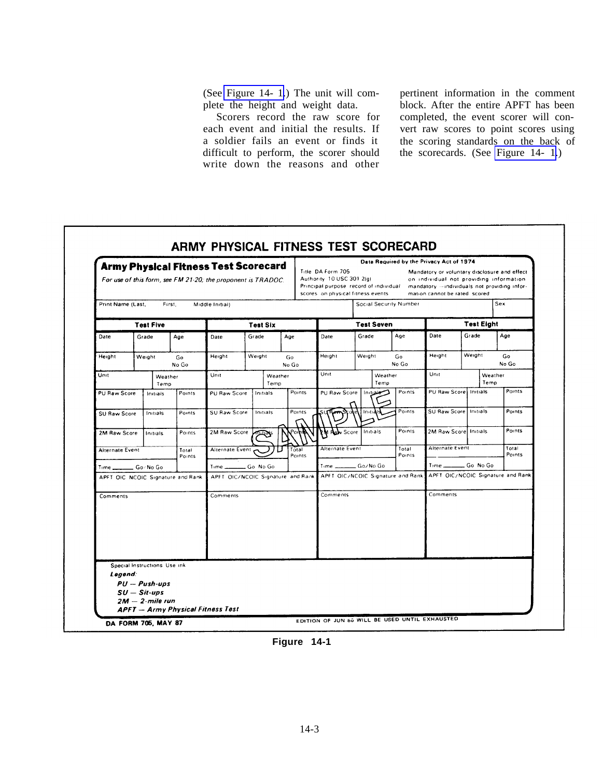(See Figure 14- 1.) The unit will com-<br>pertinent information in the comment<br>plete the height and weight data.<br>block. After the entire APFT has been

a soldier fails an event or finds it the scoring standards on the back difficult to perform, the scorer should the scorecards. (See Figure 14-1.) difficult to perform, the scorer should write down the reasons and other

ete the height and weight data.<br>
block. After the entire APFT has been<br>
Scorers record the raw score for completed, the event scorer will con-Scorers record the raw score for completed, the event scorer will con-<br>each event and initial the results. If vert raw scores to point scores using vert raw scores to point scores using<br>the scoring standards on the back of

|                   |                                                                                                                                      |                 | <b>Army Physical Fitness Test Scorecard</b><br>For use of this form, see FM 21-20, the proponent is TRADOC. |                 |                 | Title DA Form 705<br>Authority 10 USC 301 2(g)<br>Principal purpose, record of individual imandatory -- individuals not providing infor-<br>scores on physical fitness events |                                   |                 | Data Required by the Privacy Act of 1974<br>Mandatory or voluntary disclosure and effect<br>on individual not providing information.<br>mation cannot be rated. scored |                   |                 |
|-------------------|--------------------------------------------------------------------------------------------------------------------------------------|-----------------|-------------------------------------------------------------------------------------------------------------|-----------------|-----------------|-------------------------------------------------------------------------------------------------------------------------------------------------------------------------------|-----------------------------------|-----------------|------------------------------------------------------------------------------------------------------------------------------------------------------------------------|-------------------|-----------------|
| Print Name (Last, |                                                                                                                                      | First.          | Middle Initial)                                                                                             |                 |                 |                                                                                                                                                                               | Social Security Number            |                 |                                                                                                                                                                        |                   | Sex             |
|                   | <b>Test Five</b>                                                                                                                     |                 |                                                                                                             | <b>Test Six</b> |                 |                                                                                                                                                                               | <b>Test Seven</b>                 |                 |                                                                                                                                                                        | <b>Test Eight</b> |                 |
| Date              | Grade                                                                                                                                | Age             | Date                                                                                                        | Grade           | Age             | Date                                                                                                                                                                          | Grade                             | Age             | Date                                                                                                                                                                   | Grade             | Age             |
| Height            | Weight                                                                                                                               | Go<br>No Go     | Height                                                                                                      | Weight          | Go<br>No Go     | Height                                                                                                                                                                        | Weight                            | Go<br>No Go     | Height                                                                                                                                                                 | Weight            | Go<br>No Go     |
| Unit              | Weather<br>Temp                                                                                                                      |                 | Unit                                                                                                        | Temp            | Weather         | Unit                                                                                                                                                                          | Weather<br>Temp                   |                 | Unit                                                                                                                                                                   | Weather<br>Temp   |                 |
| PU Raw Score      | Initials                                                                                                                             | Points          | PU Raw Score                                                                                                | Initials        | Points          |                                                                                                                                                                               | PU Raw Score   Initiale           | Points          | PU Raw Score   Initials                                                                                                                                                |                   | Points          |
| SU Raw Score      | Initials                                                                                                                             | Points          | SU Raw Score                                                                                                | Initials        | Points          |                                                                                                                                                                               | Initi                             | Points          | SU Raw Score   Initials                                                                                                                                                |                   | Points          |
| 2M Raw Score      | Initials                                                                                                                             | Points          | 2M Raw Score                                                                                                |                 |                 | <b>Raw Score</b>                                                                                                                                                              | Initials                          | Points          | 2M Raw Score Initials                                                                                                                                                  |                   | Points          |
| Alternate Event   |                                                                                                                                      | Total<br>Points | Alternate Event                                                                                             |                 | Total<br>Points | Alternate Event                                                                                                                                                               |                                   | Total<br>Points | Alternate Event                                                                                                                                                        |                   | Total<br>Points |
|                   | . Go∠No Go                                                                                                                           |                 | $Time$ <sub>___</sub>                                                                                       | _ Go No Go      |                 | Time _________ Go/No Go                                                                                                                                                       |                                   |                 |                                                                                                                                                                        |                   |                 |
|                   | APFT OIC NCOIC Signature and Rank                                                                                                    |                 | APFT OIC/NCOIC Signature and Rank                                                                           |                 |                 |                                                                                                                                                                               | APFT OIC/NCOIC Signature and Rank |                 | APFT OIC/NCOIC Signature and Rank                                                                                                                                      |                   |                 |
| Comments          |                                                                                                                                      |                 | Comments                                                                                                    |                 |                 | Comments                                                                                                                                                                      |                                   |                 | Comments                                                                                                                                                               |                   |                 |
| Legend:           | Special Instructions Use ink<br>$PU - Push-ups$<br>$SU - S$ it-ups<br>$2M - 2$ -mile run<br><b>APFT</b> - Army Physical Fitness Test |                 |                                                                                                             |                 |                 |                                                                                                                                                                               |                                   |                 |                                                                                                                                                                        |                   |                 |

**Figure 14-1**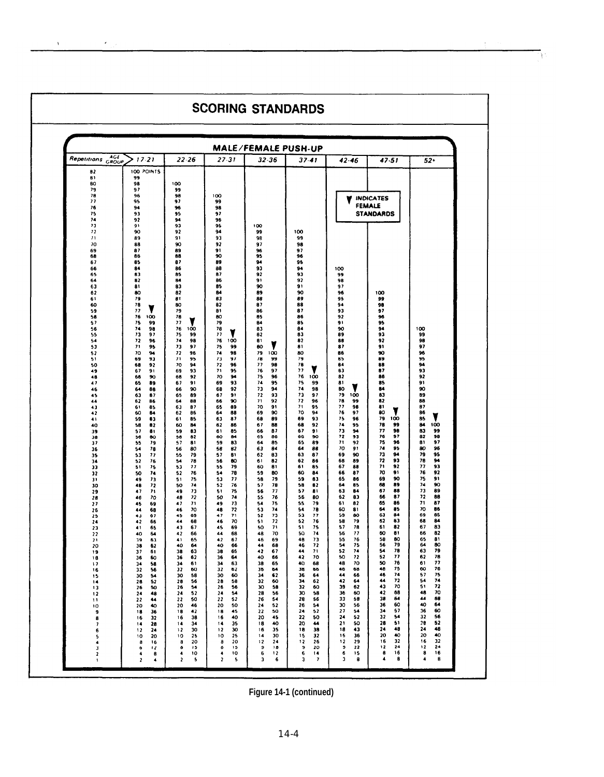|                                                                                                                                                                                                                                                                                                                                                                                                                                                                                                                                                                                                                                                                                                                                                                                                                                                                                                                                                                                                                                                                                                                                                                     |                                                                                                                                                                                                                                                                                                                                                                                                                                                                                                                                                                                                                                                                                                                                                 |                                                                                                                                                                                                                                                                                                                                                                                                                                                                                                                                                                                                                                                                                                                                     | MALE/FEMALE PUSH-UP                                                                                                                                                                                                                                                                                                                                                                                                                                                                                                                                                                                                                                                                                                                 |                                                                                                                                                                                                                                                                                                                                                                                                                                                                                                                                                                                                                                                                                                                       |                                                                                                                                                                                                                                                                                                                                                                                                                                                                                                                                                                                                                                                                                 |                                                                                                                                                                                                                                                                                                                                                                                                                                                                                                                                                                                                                             |                                                                                                                                                                                                                                                                                                                                                                                                                                                                                                                                                                                        |
|---------------------------------------------------------------------------------------------------------------------------------------------------------------------------------------------------------------------------------------------------------------------------------------------------------------------------------------------------------------------------------------------------------------------------------------------------------------------------------------------------------------------------------------------------------------------------------------------------------------------------------------------------------------------------------------------------------------------------------------------------------------------------------------------------------------------------------------------------------------------------------------------------------------------------------------------------------------------------------------------------------------------------------------------------------------------------------------------------------------------------------------------------------------------|-------------------------------------------------------------------------------------------------------------------------------------------------------------------------------------------------------------------------------------------------------------------------------------------------------------------------------------------------------------------------------------------------------------------------------------------------------------------------------------------------------------------------------------------------------------------------------------------------------------------------------------------------------------------------------------------------------------------------------------------------|-------------------------------------------------------------------------------------------------------------------------------------------------------------------------------------------------------------------------------------------------------------------------------------------------------------------------------------------------------------------------------------------------------------------------------------------------------------------------------------------------------------------------------------------------------------------------------------------------------------------------------------------------------------------------------------------------------------------------------------|-------------------------------------------------------------------------------------------------------------------------------------------------------------------------------------------------------------------------------------------------------------------------------------------------------------------------------------------------------------------------------------------------------------------------------------------------------------------------------------------------------------------------------------------------------------------------------------------------------------------------------------------------------------------------------------------------------------------------------------|-----------------------------------------------------------------------------------------------------------------------------------------------------------------------------------------------------------------------------------------------------------------------------------------------------------------------------------------------------------------------------------------------------------------------------------------------------------------------------------------------------------------------------------------------------------------------------------------------------------------------------------------------------------------------------------------------------------------------|---------------------------------------------------------------------------------------------------------------------------------------------------------------------------------------------------------------------------------------------------------------------------------------------------------------------------------------------------------------------------------------------------------------------------------------------------------------------------------------------------------------------------------------------------------------------------------------------------------------------------------------------------------------------------------|-----------------------------------------------------------------------------------------------------------------------------------------------------------------------------------------------------------------------------------------------------------------------------------------------------------------------------------------------------------------------------------------------------------------------------------------------------------------------------------------------------------------------------------------------------------------------------------------------------------------------------|----------------------------------------------------------------------------------------------------------------------------------------------------------------------------------------------------------------------------------------------------------------------------------------------------------------------------------------------------------------------------------------------------------------------------------------------------------------------------------------------------------------------------------------------------------------------------------------|
| <b>AGE</b><br>Repetitions<br>$17 - 21$<br>GROUP                                                                                                                                                                                                                                                                                                                                                                                                                                                                                                                                                                                                                                                                                                                                                                                                                                                                                                                                                                                                                                                                                                                     | 22-26                                                                                                                                                                                                                                                                                                                                                                                                                                                                                                                                                                                                                                                                                                                                           | 27-31                                                                                                                                                                                                                                                                                                                                                                                                                                                                                                                                                                                                                                                                                                                               | 32-36                                                                                                                                                                                                                                                                                                                                                                                                                                                                                                                                                                                                                                                                                                                               | $37 - 41$                                                                                                                                                                                                                                                                                                                                                                                                                                                                                                                                                                                                                                                                                                             | $42 - 46$                                                                                                                                                                                                                                                                                                                                                                                                                                                                                                                                                                                                                                                                       | 47-51                                                                                                                                                                                                                                                                                                                                                                                                                                                                                                                                                                                                                       | 52+                                                                                                                                                                                                                                                                                                                                                                                                                                                                                                                                                                                    |
| 100 20INTS<br>82<br>81<br>99<br>80<br>98<br>79<br>97<br>78<br>96<br>,,<br>95<br>76<br>94<br>75<br>93<br>74<br>92<br>73<br>91<br>72<br>90<br>$\overline{\phantom{a}}$<br>89<br>70<br>88<br>69<br>87<br>68<br>86<br>85<br>67                                                                                                                                                                                                                                                                                                                                                                                                                                                                                                                                                                                                                                                                                                                                                                                                                                                                                                                                          | 100<br>99<br>98<br>97<br>96<br>95<br>94<br>93<br>92<br>91<br>90<br>89<br>88<br>87                                                                                                                                                                                                                                                                                                                                                                                                                                                                                                                                                                                                                                                               | 100<br>99<br>98<br>97<br>96<br>95<br>94<br>93<br>92<br>91<br>90<br>89                                                                                                                                                                                                                                                                                                                                                                                                                                                                                                                                                                                                                                                               | 100<br>99<br>98<br>97<br>96<br>95<br>94                                                                                                                                                                                                                                                                                                                                                                                                                                                                                                                                                                                                                                                                                             | 100<br>99<br>98<br>97<br>96<br>95                                                                                                                                                                                                                                                                                                                                                                                                                                                                                                                                                                                                                                                                                     |                                                                                                                                                                                                                                                                                                                                                                                                                                                                                                                                                                                                                                                                                 | <b>INDICATES</b><br><b>FEMALE</b><br><b>STANDARDS</b>                                                                                                                                                                                                                                                                                                                                                                                                                                                                                                                                                                       |                                                                                                                                                                                                                                                                                                                                                                                                                                                                                                                                                                                        |
| 84<br>66<br>65<br>83<br>82<br>64<br>63<br>81<br>62<br>80<br>79<br>61<br>60<br>78<br>۷<br>59<br>77<br>76<br>100<br>58<br>57<br>75<br>99<br>74<br>98<br>56<br>73<br>97<br>55<br>54<br>72<br>96<br>71<br>95<br>53<br>52<br>70<br>94<br>69<br>93<br>51<br>50<br>68<br>92<br>49<br>67<br>91<br>48<br>66<br>90<br>47<br>65<br>89<br>88<br>46<br>64<br>45<br>63<br>87<br>44<br>62<br>86<br>43<br>61<br>85<br>42<br>60<br>84<br>59<br>41<br>83<br>40<br>58<br>82<br>57<br>81<br>39<br>56<br>80<br>38<br>79<br>37<br>55<br>54<br>78<br>36<br>77<br>53<br>35<br>76<br>52<br>34<br>51<br>75<br>33<br>74<br>32<br>50<br>49<br>73<br>31<br>48<br>30<br>72<br>29<br>47<br>11<br>70<br>46<br>28<br>27<br>45<br>69<br>44<br>68<br>26<br>43<br>67<br>25<br>24<br>42<br>66<br>41<br>65<br>23<br>22<br>40<br>64<br>39<br>63<br>21<br>20<br>38<br>62<br>37<br>61<br>19<br>36<br>60<br>18<br>17<br>34<br>58<br>32<br>56<br>16<br>15<br>30<br>54<br>28<br>14<br>52<br>13<br>26<br>50<br>12<br>24<br>48<br>11<br>22<br>44<br>10<br>20<br>40<br>18<br>36<br>9<br>8<br>16<br>32<br>14<br>28<br>7<br>6<br>12<br>24<br>10<br>20<br>5<br>8<br>4<br>16<br>6<br>3<br>12<br>$\mathbf{z}$<br>4<br>8 | 86<br>85<br>84<br>83<br>82<br>81<br>80<br>79<br>78<br>v<br>77<br>76<br>100<br>75<br>99<br>74<br>98<br>73<br>97<br>72<br>96<br>71<br>95<br>70<br>94<br>93<br>69<br>68<br>92<br>67<br>91<br>90<br>66<br>65<br>89<br>64<br>88<br>63<br>87<br>62<br>86<br>61<br>85<br>60<br>84<br>59<br>83<br>82<br>58<br>57<br>81<br>56<br>80<br>79<br>55<br>54<br>78<br>53<br>77<br>76<br>52<br>51<br>75<br>50<br>74<br>49<br>73<br>48<br>72<br>71<br>47<br>70<br>46<br>45<br>69<br>44<br>68<br>43<br>67<br>42<br>66<br>41<br>65<br>40<br>64<br>38<br>63<br>36<br>62<br>34<br>61<br>32<br>60<br>30<br>58<br>28<br>56<br>26<br>54<br>52<br>24<br>22<br>50<br>20<br>46<br>18<br>42<br>16<br>38<br>14<br>34<br>30<br>12<br>25<br>10<br>20<br>8<br>6<br>15<br>10<br>4 | 88<br>87<br>86<br>85<br>84<br>83<br>82<br>81<br>80<br>79<br>78<br>V<br>77<br>100<br>76<br>75<br>99<br>74<br>98<br>73<br>97<br>72<br>96<br>71<br>95<br>70<br>94<br>69<br>93<br>68<br>92<br>67<br>91<br>66<br>90<br>65<br>69<br>64<br>88<br>63<br>87<br>62<br>86<br>61<br>85<br>60<br>84<br>59<br>83<br>58<br>62<br>57<br>81<br>80<br>56<br>79<br>55<br>54<br>78<br>53<br>77<br>52<br>76<br>51<br>75<br>74<br>50<br>73<br>49<br>48<br>72<br>47<br>71<br>70<br>46<br>45<br>69<br>44<br>68<br>42<br>67<br>40<br>66<br>38<br>65<br>64<br>36<br>34<br>63<br>32<br>62<br>30<br>60<br>28<br>58<br>26<br>56<br>24<br>54<br>22<br>52<br>20<br>50<br>18<br>45<br>16<br>40<br>14<br>35<br>30<br>12<br>25<br>10<br>20<br>8<br>6<br>15<br>10<br>4 | 93<br>92<br>91<br>90<br>89<br>88<br>87<br>86<br>85<br>84<br>83<br>82<br>81<br>۷<br>60<br>79<br>100<br>78<br>99<br>77<br>98<br>76<br>97<br>75<br>96<br>74<br>95<br>73<br>94<br>72<br>93<br>71<br>92<br>70<br>91<br>69<br>90<br>68<br>89<br>67<br>88<br>87<br>66<br>65<br>86<br>64<br>85<br>63<br>84<br>62<br>83<br>82<br>61<br>60<br>81<br>59<br>80<br>58<br>79<br>57<br>78<br>56<br>77<br>55<br>76<br>54<br>75<br>53<br>74<br>73<br>52<br>72<br>51<br>50<br>71<br>48<br>70<br>46<br>69<br>44<br>68<br>42<br>67<br>40<br>66<br>38<br>65<br>36<br>64<br>34<br>62<br>32<br>60<br>30<br>58<br>28<br>56<br>26<br>54<br>24<br>52<br>22<br>so<br>20<br>45<br>18<br>40<br>35<br>16<br>30<br>14<br>24<br>$\mathbf{12}$<br>9<br>18<br>6<br>12 | 94<br>93<br>92<br>91<br>90<br>89<br>88<br>87<br>86<br>85<br>84<br>83<br>82<br>81<br>80<br>79<br>78<br>v<br>77<br>76<br>100<br>75<br>99<br>74<br>98<br>73<br>97<br>$\overline{12}$<br>96<br>71<br>95<br>70<br>94<br>69<br>93<br>68<br>92<br>67<br>91<br>66<br>90<br>65<br>89<br>64<br>88<br>63<br>87<br>62<br>86<br>61<br>85<br>60<br>84<br>59<br>83<br>58<br>82<br>57<br>81<br>56<br>80<br>55<br>79<br>54<br>78<br>53<br>77<br>52<br>76<br>51<br>75<br>50<br>74<br>73<br>48<br>46<br>72<br>44<br>71<br>42<br>70<br>40<br>68<br>38<br>66<br>36<br>64<br>34<br>62<br>32<br>60<br>30<br>58<br>28<br>56<br>26<br>54<br>24<br>52<br>22<br>50<br>20<br>44<br>18<br>38<br>15<br>32<br>12<br>26<br>$\pmb{9}$<br>20<br>6<br>14 | 100<br>99<br>98<br>97<br>96<br>95<br>94<br>93<br>92<br>91<br>90<br>89<br>88<br>87<br>86<br>85<br>84<br>63<br>82<br>81<br>٦<br>80<br>79<br>100<br>78<br>99<br>77<br>98<br>76<br>97<br>75<br>96<br>74<br>95<br>73<br>94<br>72<br>93<br>71<br>92<br>70<br>91<br>69<br>90<br>68<br>89<br>67<br>88<br>66<br>87<br>65<br>86<br>64<br>85<br>63<br>84<br>62<br>83<br>61<br>82<br>60<br>81<br>59<br>80<br>58<br>79<br>57<br>78<br>56<br>77<br>55<br>76<br>75<br>54<br>52<br>74<br>72<br>50<br>48<br>70<br>46<br>68<br>44<br>66<br>42<br>64<br>39<br>62<br>36<br>60<br>33<br>58<br>30<br>56<br>27<br>54<br>24<br>52<br>21<br>50<br>18<br>43<br>15<br>36<br>12<br>29<br>9<br>22<br>6<br>15 | 100<br>99<br>98<br>97<br>96<br>95<br>94<br>93<br>92<br>91<br>90<br>89<br>88<br>87<br>86<br>85<br>84<br>83<br>82<br>81<br>80<br>79<br>100<br>78<br>99<br>77<br>98<br>76<br>97<br>75<br>96<br>74<br>95<br>73<br>94<br>72<br>93<br>71<br>92<br>70<br>91<br>90<br>69<br>68<br>89<br>67<br>88<br>66<br>87<br>65<br>86<br>64<br>85<br>63<br>84<br>83<br>62<br>61<br>82<br>60<br>81<br>58<br>80<br>79<br>56<br>54<br>78<br>77<br>52<br>50<br>76<br>75<br>48<br>46<br>74<br>44<br>72<br>43<br>70<br>68<br>42<br>38<br>64<br>36<br>60<br>34<br>57<br>32<br>54<br>51<br>28<br>24<br>48<br>20<br>40<br>16<br>32<br>24<br>12<br>8<br>16 | 100<br>99<br>98<br>97<br>96<br>95<br>94<br>93<br>92<br>91<br>90<br>89<br>88<br>87<br>86<br>v<br>85<br>84<br>100<br>99<br>83<br>98<br>82<br>97<br>81<br>96<br>80<br>79<br>95<br>94<br>78<br>93<br>77<br>76<br>92<br>91<br>75<br>74<br>90<br>73<br>89<br>72<br>88<br>71<br>87<br>70<br>86<br>85<br>69<br>84<br>68<br>83<br>67<br>66<br>82<br>81<br>65<br>80<br>64<br>79<br>63<br>78<br>62<br>77<br>61<br>76<br>60<br>75<br>57<br>74<br>54<br>72<br>51<br>70<br>48<br>68<br>44<br>40<br>64<br>60<br>36<br>56<br>32<br>38<br>52<br>24<br>48<br>20<br>40<br>32<br>16<br>24<br>12<br>8<br>16 |

 $\bar{L}$ 

 $\bar{z}$ 

 $\lambda$ 

**Figure 14-1 (continued)**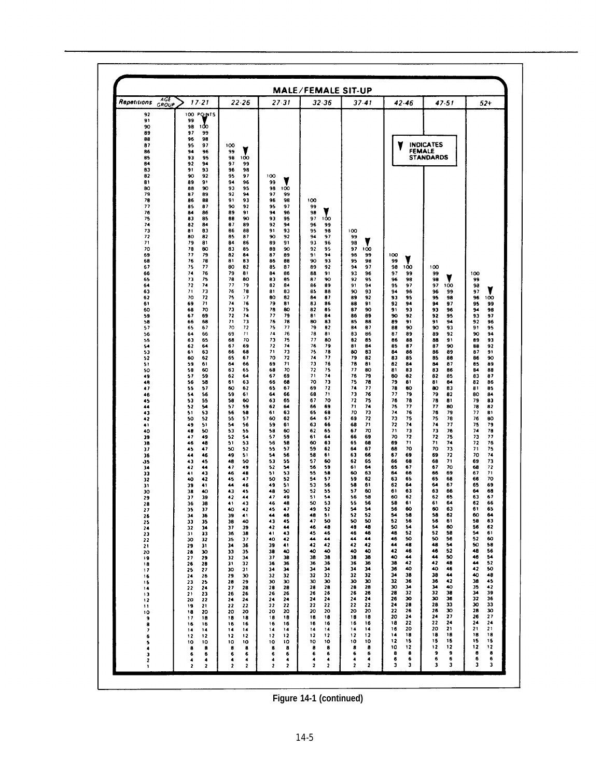|                                                                                                                                                                                                                                                                                                                   |                                                                                                                                                                                                                                                                                                                                                                                                                                                                                                                                                                                                       |                                                                                                                                                                                                                                                                                                                                                                                                                                                                                                                                                                       |                                                                                                                                                                                                                                                                                                                                                                                                                                                                                                                                                | <b>MALE/FEMALE SIT-UP</b>                                                                                                                                                                                                                                                                                                                                                                                                                                                                                                |                                                                                                                                                                                                                                                                                                                                                                                                                                                                                                                          |                                                                                                                                                                                                                                                                                                                                                                                                                                                                                                                            |                                                                                                                                                                                                                                                                                                                                                                                                                                                                                                                            |                                                                                                                                                                                                                                                                                                                                                                                                                                                                                                                            |
|-------------------------------------------------------------------------------------------------------------------------------------------------------------------------------------------------------------------------------------------------------------------------------------------------------------------|-------------------------------------------------------------------------------------------------------------------------------------------------------------------------------------------------------------------------------------------------------------------------------------------------------------------------------------------------------------------------------------------------------------------------------------------------------------------------------------------------------------------------------------------------------------------------------------------------------|-----------------------------------------------------------------------------------------------------------------------------------------------------------------------------------------------------------------------------------------------------------------------------------------------------------------------------------------------------------------------------------------------------------------------------------------------------------------------------------------------------------------------------------------------------------------------|------------------------------------------------------------------------------------------------------------------------------------------------------------------------------------------------------------------------------------------------------------------------------------------------------------------------------------------------------------------------------------------------------------------------------------------------------------------------------------------------------------------------------------------------|--------------------------------------------------------------------------------------------------------------------------------------------------------------------------------------------------------------------------------------------------------------------------------------------------------------------------------------------------------------------------------------------------------------------------------------------------------------------------------------------------------------------------|--------------------------------------------------------------------------------------------------------------------------------------------------------------------------------------------------------------------------------------------------------------------------------------------------------------------------------------------------------------------------------------------------------------------------------------------------------------------------------------------------------------------------|----------------------------------------------------------------------------------------------------------------------------------------------------------------------------------------------------------------------------------------------------------------------------------------------------------------------------------------------------------------------------------------------------------------------------------------------------------------------------------------------------------------------------|----------------------------------------------------------------------------------------------------------------------------------------------------------------------------------------------------------------------------------------------------------------------------------------------------------------------------------------------------------------------------------------------------------------------------------------------------------------------------------------------------------------------------|----------------------------------------------------------------------------------------------------------------------------------------------------------------------------------------------------------------------------------------------------------------------------------------------------------------------------------------------------------------------------------------------------------------------------------------------------------------------------------------------------------------------------|
| AGE<br>GROUP                                                                                                                                                                                                                                                                                                      | 17.21                                                                                                                                                                                                                                                                                                                                                                                                                                                                                                                                                                                                 | $22 - 26$                                                                                                                                                                                                                                                                                                                                                                                                                                                                                                                                                             | 27-31                                                                                                                                                                                                                                                                                                                                                                                                                                                                                                                                          | 32-36                                                                                                                                                                                                                                                                                                                                                                                                                                                                                                                    | 37.41                                                                                                                                                                                                                                                                                                                                                                                                                                                                                                                    | 42-46                                                                                                                                                                                                                                                                                                                                                                                                                                                                                                                      | 47-51                                                                                                                                                                                                                                                                                                                                                                                                                                                                                                                      | 52+                                                                                                                                                                                                                                                                                                                                                                                                                                                                                                                        |
| Repetitions<br>92<br>91<br>90<br>89<br>88<br>87<br>86<br>85<br>84<br>83<br>82<br>81<br>80<br>79<br>78<br>77<br>76<br>75<br>74<br>73<br>72<br>71<br>70<br>69<br>68<br>67<br>66<br>65<br>64<br>63<br>62<br>61<br>60<br>59<br>58<br>57<br>56<br>55<br>54<br>53<br>52<br>51<br>50<br>49<br>48<br>47<br>46<br>45<br>44 | 100 POINTS<br>99<br>100<br>98<br>97<br>99<br>96<br>98<br>95<br>97<br>94<br>96<br>93<br>95<br>92<br>94<br>91<br>93<br>90<br>92<br>89<br>91<br>88<br>90<br>87<br>89<br>86<br>88<br>85<br>87<br>84<br>86<br>83<br>85<br>82<br>84<br>91<br>83<br>80<br>82<br>79<br>81<br>78<br>80<br>,,<br>79<br>76<br>78<br>75<br>77<br>74<br>76<br>73<br>75<br>72<br>74<br>71<br>73<br>70<br>72<br>69<br>71<br>70<br>68<br>67<br>69<br>68<br>66<br>67<br>65<br>64<br>66<br>63<br>65<br>62<br>64<br>61<br>63<br>60<br>62<br>59<br>61<br>58<br>60<br>57<br>59<br>56<br>58<br>55<br>57<br>54<br>56<br>53<br>55<br>52<br>54 | 100<br>99<br>98<br>100<br>97<br>99<br>96<br>98<br>95<br>97<br>94<br>96<br>93<br>95<br>92<br>94<br>91<br>93<br>90<br>92<br>89<br>91<br>88<br>90<br>87<br>89<br>R6<br>88<br>85<br>87<br>86<br>84<br>83<br>85<br>82<br>84<br>81<br>83<br>80<br>82<br>79<br>81<br>78<br>80<br>77<br>79<br>76<br>78<br>75<br>77<br>74<br>76<br>73<br>75<br>74<br>72<br>71<br>73<br>70<br>72<br>$\overline{\mathbf{z}}$<br>69<br>70<br>68<br>67<br>69<br>66<br>68<br>65<br>67<br>64<br>66<br>63<br>65<br>62<br>64<br>61<br>63<br>60<br>62<br>59<br>61<br>58<br>60<br>57<br>59               | 100<br>99<br>100<br>98<br>97<br>99<br>96<br>98<br>97<br>95<br>94<br>96<br>93<br>95<br>92<br>94<br>91<br>93<br>90<br>92<br>91<br>89<br>88<br>90<br>87<br>89<br>86<br>88<br>85<br>87<br>84<br>86<br>83<br>85<br>82<br>84<br>81<br>83<br>80<br>82<br>79<br>81<br>78<br>80<br>77<br>79<br>76<br>78<br>75<br>77<br>14<br>76<br>73<br>75<br>72<br>74<br>71<br>73<br>70<br>72<br>69<br>71<br>70<br>68<br>67<br>69<br>66<br>68<br>65<br>67<br>64<br>66<br>63<br>65<br>62<br>64                                                                         | 100<br>99<br>98<br>97<br>100<br>96<br>99<br>98<br>95<br>94<br>97<br>93<br>96<br>92<br>95<br>91<br>94<br>90<br>93<br>89<br>92<br>91<br>88<br>87<br>90<br>86<br>89<br>85<br>88<br>84<br>87<br>83<br>86<br>82<br>85<br>81<br>84<br>80<br>83<br>79<br>82<br>78<br>81<br>77<br>80<br>76<br>79<br>75<br>78<br>74<br>77<br>73<br>76<br>72<br>75<br>71<br>74<br>70<br>73<br>72<br>69<br>68<br>71<br>67<br>70<br>66<br>69                                                                                                         | 100<br>99<br>98<br>97<br>100<br>99<br>96<br>95<br>90<br>94<br>97<br>93<br>96<br>92<br>95<br>94<br>91<br>90<br>93<br>89<br>92<br>88<br>91<br>87<br>90<br>86<br>89<br>85<br>88<br>84<br>87<br>83<br>86<br>82<br>85<br>81<br>84<br>80<br>83<br>79<br>82<br>78<br>81<br>77<br>80<br>76<br>79<br>75<br>78<br>74<br>77<br>73<br>76<br>72<br>75<br>74<br>71                                                                                                                                                                     | <b>FEMALE</b><br>100<br>v<br>99<br>98<br>100<br>97<br>99<br>96<br>98<br>95<br>97<br>94<br>96<br>93<br>95<br>92<br>94<br>91<br>93<br>90<br>92<br>89<br>91<br>88<br>90<br>87<br>89<br>86<br>88<br>85<br>87<br>84<br>86<br>83<br>85<br>82<br>84<br>81<br>83<br>80<br>82<br>79<br>81<br>78<br>60<br>77<br>79<br>76<br>78<br>75<br>77                                                                                                                                                                                           | <b>INDICATES</b><br>STANDARDS<br>100<br>99<br>98<br>97<br>100<br>96<br>99<br>95<br>98<br>94<br>97<br>93<br>96<br>92<br>95<br>91<br>94<br>90<br>93<br>92<br>89<br>91<br>88<br>87<br>90<br>86<br>89<br>85<br>88<br>84<br>87<br>83<br>86<br>82<br>85<br>81<br>84<br>80<br>83<br>79<br>82<br>78<br>81<br>77<br>80                                                                                                                                                                                                              | 100<br>99<br>98<br>v<br>97<br>96<br>100<br>95<br>99<br>94<br>98<br>93<br>97<br>92<br>96<br>91<br>95<br>90<br>94<br>89<br>93<br>88<br>92<br>87<br>91<br>86<br>90<br>85<br>89<br>84<br>88<br>83<br>87<br>86<br>82<br>81<br>85<br>80<br>84<br>79<br>83<br>78<br>82                                                                                                                                                                                                                                                            |
| 43<br>42<br>41<br>40<br>39<br>38<br>31<br>36<br>35<br>34<br>33<br>32<br>31<br>30<br>29<br>28<br>27<br>26<br>25<br>24<br>23<br>22<br>21<br>20<br>19<br>18<br>17<br>16<br>15<br>14<br>13<br>12<br>11<br>10<br>9<br>8<br>7<br>6<br>5<br>٠<br>э<br>2<br>1                                                             | 51<br>53<br>50<br>52<br>49<br>51<br>48<br>50<br>47<br>49<br>46<br>48<br>45<br>47<br>44<br>46<br>43<br>45<br>42<br>44<br>41<br>43<br>40<br>42<br>39<br>41<br>40<br>38<br>37<br>39<br>36<br>38<br>35<br>37<br>34<br>36<br>33<br>35<br>34<br>32<br>33<br>31<br>30<br>32<br>29<br>31<br>30<br>28<br>29<br>27<br>28<br>26<br>27<br>25<br>26<br>24<br>23<br>25<br>22<br>24<br>21<br>23<br>20<br>22<br>19<br>21<br>18<br>20<br>17<br>18<br>16<br>16<br>14<br>14<br>12<br>12<br>10<br>10<br>8<br>8<br>6<br>6<br>4<br>4<br>2<br>2                                                                              | 56<br>58<br>57<br>55<br>54<br>56<br>53<br>-55<br>52<br>54<br>51<br>53<br>50<br>52<br>49<br>51<br>48<br>50<br>47<br>49<br>46<br>48<br>45<br>47<br>44<br>46<br>43<br>45<br>42<br>44<br>41<br>43<br>40<br>42<br>39<br>41<br>38<br>40<br>37<br>39<br>36<br>38<br>35<br>37<br>34<br>36<br>33<br>35<br>32<br>34<br>31<br>32<br>30<br>31<br>29<br>30<br>28<br>29<br>27<br>28<br>26<br>26<br>24<br>24<br>22<br>22<br>20<br>20<br>18<br>18<br>16<br>16<br>14<br>$\overline{\mathbf{14}}$<br>12<br>12<br>10<br>10<br>8<br>8<br>6<br>6<br>٠<br>4<br>$\overline{\mathbf{z}}$<br>2 | 61<br>63<br>60<br>62<br>59<br>61<br>58<br>60<br>57<br>59<br>56<br>58<br>55<br>57<br>54<br>56<br>53<br>55<br>52<br>54<br>53<br>51<br>50<br>52<br>49<br>51<br>48<br>50<br>47<br>49<br>48<br>46<br>47<br>45<br>46<br>44<br>45<br>43<br>42<br>44<br>41<br>43<br>40<br>42<br>39<br>41<br>38<br>40<br>37<br>38<br>36<br>36<br>34<br>34<br>32<br>32<br>30<br>30<br>28<br>28<br>26<br>26<br>24<br>24<br>22<br>22<br>20<br>20<br>18<br>18<br>16<br>16<br>14<br>14<br>12<br>$\overline{\mathbf{12}}$<br>10<br>10<br>8<br>8<br>6<br>6<br>4<br>4<br>2<br>2 | 65<br>68<br>64<br>67<br>66<br>63<br>62<br>65<br>61<br>64<br>60<br>63<br>59<br>62<br>58<br>61<br>57<br>60<br>56<br>59<br>55<br>58<br>54<br>57<br>53<br>56<br>52<br>55<br>51<br>54<br>50<br>53<br>49<br>52<br>48<br>51<br>47<br>50<br>48<br>46<br>45<br>46<br>44<br>44<br>42<br>42<br>40<br>40<br>38<br>38<br>36<br>36<br>34<br>34<br>32<br>32<br>30<br>30<br>28<br>28<br>26<br>26<br>24<br>24<br>22<br>22<br>20<br>20<br>18<br>18<br>16<br>16<br>14<br>14<br>12<br>12<br>10<br>10<br>8<br>8<br>6<br>6<br>4<br>4<br>2<br>2 | 70<br>73<br>69<br>72<br>71<br>68<br>67<br>70<br>66<br>69<br>65<br>68<br>67<br>64<br>66<br>63<br>65<br>62<br>64<br>61<br>60<br>63<br>59<br>62<br>58<br>61<br>57<br>60<br>58<br>56<br>55<br>56<br>54<br>54<br>52<br>52<br>50<br>50<br>48<br>48<br>46<br>46<br>44<br>44<br>42<br>42<br>40<br>40<br>38<br>38<br>36<br>36<br>34<br>34<br>32<br>32<br>30<br>30<br>28<br>28<br>26<br>26<br>24<br>24<br>22<br>22<br>20<br>20<br>18<br>18<br>16<br>16<br>14<br>14<br>12<br>12<br>10<br>10<br>8<br>8<br>6<br>6<br>٠<br>4<br>2<br>2 | 74<br>76<br>73<br>75<br>72<br>74<br>71<br>73<br>70<br>72<br>69<br>71<br>68<br>70<br>67<br>69<br>66<br>68<br>65<br>67<br>64<br>66<br>63<br>65<br>62<br>64<br>61<br>63<br>60<br>62<br>61<br>58<br>60<br>56<br>54<br>58<br>52<br>56<br>50<br>54<br>52<br>48<br>46<br>50<br>48<br>44<br>42<br>46<br>40<br>44<br>38<br>42<br>36<br>40<br>34<br>38<br>32<br>36<br>30<br>34<br>28<br>32<br>26<br>30<br>24<br>28<br>26<br>22<br>24<br>20<br>18<br>22<br>16<br>20<br>14<br>18<br>12<br>15<br>12<br>10<br>8<br>8<br>6<br>6<br>э<br>3 | 76<br>79<br>75<br>78<br>74<br>77<br>73<br>76<br>72<br>75<br>71<br>74<br>70<br>73<br>69<br>72<br>68<br>71<br>67<br>70<br>68<br>69<br>65<br>68<br>67<br>64<br>63<br>66<br>62<br>65<br>61<br>64<br>60<br>63<br>58<br>62<br>56<br>61<br>54<br>60<br>52<br>58<br>50<br>56<br>48<br>54<br>52<br>46<br>44<br>50<br>42<br>48<br>40<br>46<br>38<br>44<br>36<br>42<br>34<br>40<br>32<br>38<br>30<br>36<br>28<br>33<br>26<br>30<br>24<br>27<br>22<br>24<br>21<br>20<br>18<br>18<br>15<br>15<br>12<br>12<br>9<br>9<br>6<br>6<br>3<br>3 | 77<br>81<br>76<br>80<br>79<br>75<br>74<br>78<br>73<br>77<br>72<br>76<br>75<br>71<br>70<br>74<br>69<br>73<br>72<br>68<br>67<br>71<br>66<br>70<br>69<br>65<br>64<br>68<br>63<br>67<br>66<br>62<br>61<br>65<br>64<br>60<br>63<br>58<br>62<br>56<br>61<br>54<br>60<br>52<br>50<br>58<br>56<br>48<br>54<br>46<br>52<br>44<br>50<br>42<br>48<br>40<br>45<br>38<br>35<br>42<br>39<br>34<br>32<br>36<br>33<br>30<br>30<br>28<br>27<br>26<br>24<br>24<br>21<br>21<br>18<br>18<br>15<br>15<br>12<br>12<br>8<br>6<br>8<br>6<br>3<br>з |

**Figure 14-1 (continued)**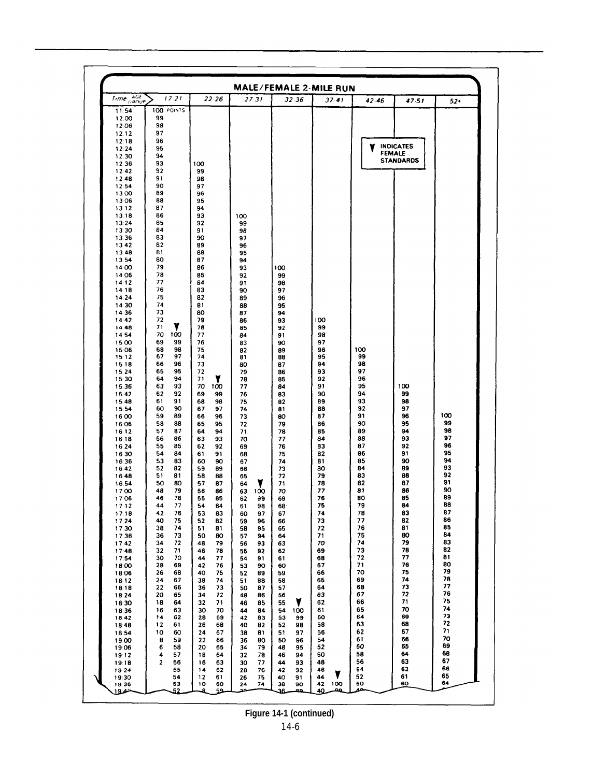|                                                                                                                                                                                                                                                                                                                                                                                                                                                                                                                                                                                                                                                                                                                                                                                                                                                                                                                                                                                                                                                                                                                                                                                                                                                                                                                                                                                                                                                                                        |                                                                                                                                                                                                                                                                                                                                                                                                                                                                                                                                                                                                                                                                                                      | MALE/FEMALE 2-MILE RUN                                                                                                                                                                                                                                                                                                                                                                                                                                                                                                                                                                                                                                                                                                                                                                                                                                                                                                                         |                                                                                                                                                                                                                                                                                                    |                                                                                                                                                                                                                                                                       |                                                                                                                                                                                                                                                                                                  |                                                                                                                                                                                                                 |
|----------------------------------------------------------------------------------------------------------------------------------------------------------------------------------------------------------------------------------------------------------------------------------------------------------------------------------------------------------------------------------------------------------------------------------------------------------------------------------------------------------------------------------------------------------------------------------------------------------------------------------------------------------------------------------------------------------------------------------------------------------------------------------------------------------------------------------------------------------------------------------------------------------------------------------------------------------------------------------------------------------------------------------------------------------------------------------------------------------------------------------------------------------------------------------------------------------------------------------------------------------------------------------------------------------------------------------------------------------------------------------------------------------------------------------------------------------------------------------------|------------------------------------------------------------------------------------------------------------------------------------------------------------------------------------------------------------------------------------------------------------------------------------------------------------------------------------------------------------------------------------------------------------------------------------------------------------------------------------------------------------------------------------------------------------------------------------------------------------------------------------------------------------------------------------------------------|------------------------------------------------------------------------------------------------------------------------------------------------------------------------------------------------------------------------------------------------------------------------------------------------------------------------------------------------------------------------------------------------------------------------------------------------------------------------------------------------------------------------------------------------------------------------------------------------------------------------------------------------------------------------------------------------------------------------------------------------------------------------------------------------------------------------------------------------------------------------------------------------------------------------------------------------|----------------------------------------------------------------------------------------------------------------------------------------------------------------------------------------------------------------------------------------------------------------------------------------------------|-----------------------------------------------------------------------------------------------------------------------------------------------------------------------------------------------------------------------------------------------------------------------|--------------------------------------------------------------------------------------------------------------------------------------------------------------------------------------------------------------------------------------------------------------------------------------------------|-----------------------------------------------------------------------------------------------------------------------------------------------------------------------------------------------------------------|
| $Time_{GROUP}^{AGE}$<br>17.21                                                                                                                                                                                                                                                                                                                                                                                                                                                                                                                                                                                                                                                                                                                                                                                                                                                                                                                                                                                                                                                                                                                                                                                                                                                                                                                                                                                                                                                          | 22.26                                                                                                                                                                                                                                                                                                                                                                                                                                                                                                                                                                                                                                                                                                | 27.31<br>32.36                                                                                                                                                                                                                                                                                                                                                                                                                                                                                                                                                                                                                                                                                                                                                                                                                                                                                                                                 | 37.41                                                                                                                                                                                                                                                                                              | 42.46                                                                                                                                                                                                                                                                 | 47.51                                                                                                                                                                                                                                                                                            | 52+                                                                                                                                                                                                             |
| 100 POINTS<br>11:54<br>99<br>12:00<br>98<br>12:06<br>12.12<br>97<br>96<br>12:18<br>95<br>12:24<br>94<br>12:30<br>93<br>12.36<br>92<br>12:42<br>12.48<br>91<br>90<br>12:54<br>89<br>13:00<br>13:06<br>88<br>87<br>13.12<br>86<br>13.18<br>85<br>13:24<br>84<br>13:30<br>83<br>13.36<br>82<br>1342<br>81<br>13:48<br>80<br>13:54<br>79<br>14:00<br>14.06<br>78<br>77<br>14:12<br>76<br>14 18<br>75<br>14:24<br>74<br>14:30<br>73<br>14.36<br>72<br>14:42<br>▼<br>71<br>14 48<br>70<br>100<br>14:54<br>99<br>15:00<br>69<br>68<br>98<br>15:06<br>67<br>97<br>15:12<br>66<br>96<br>15:18<br>65<br>95<br>15.24<br>64<br>94<br>15:30<br>63<br>93<br>15.36<br>62<br>92<br>15:42<br>91<br>61<br>15:48<br>60<br>90<br>15.54<br>89<br>59<br>16:00<br>58<br>88<br>16:06<br>16:12<br>57<br>87<br>56<br>86<br>16:18<br>55<br>16:24<br>85<br>54<br>84<br>16:30<br>53<br>83<br>16:36<br>52<br>82<br>16:42<br>51<br>81<br>16:48<br>50<br>80<br>16:54<br>79<br>48<br>17:00<br>78<br>46<br>17:06<br>77<br>44<br>17.12<br>76<br>42<br>17:18<br>75<br>40<br>17:24<br>38<br>74<br>17:30<br>36<br>73<br>17:36<br>34<br>72<br>17:42<br>32<br>71<br>17:48<br>70<br>30<br>17:54<br>28<br>69<br>18:00<br>26<br>68<br>18:06<br>24<br>67<br>18:12<br>22<br>66<br>18:18<br>20<br>65<br>18:24<br>18:30<br>18<br>64<br>16<br>63<br>18:36<br>14<br>62<br>18:42<br>12<br>61<br>18:48<br>10<br>60<br>18:54<br>8<br>59<br>19:00<br>6<br>58<br>19:06<br>57<br>4<br>19:12<br>2<br>56<br>19:18<br>55<br>19:24<br>54<br>19:30 | 100<br>99<br>98<br>97<br>96<br>95<br>94<br>93<br>100<br>92<br>91<br>90<br>89<br>88<br>87<br>86<br>85<br>84<br>83<br>82<br>81<br>80<br>79<br>78<br>77<br>76<br>75<br>74<br>73<br>72<br>71<br>v<br>70<br>100<br>69<br>99<br>68<br>98<br>67<br>97<br>66<br>96<br>65<br>95<br>64<br>94<br>63<br>93<br>62<br>92<br>61<br>91<br>60<br>90<br>59<br>89<br>58<br>88<br>57<br>87<br>56<br>86<br>55<br>85<br>54<br>84<br>53<br>83<br>52<br>82<br>51<br>81<br>50<br>80<br>48<br>79<br>78<br>46<br>44<br>77<br>42<br>76<br>40<br>75<br>38<br>74<br>36<br>73<br>34<br>72<br>32<br>71<br>70<br>30<br>28<br>69<br>26<br>68<br>24<br>67<br>22<br>66<br>20<br>65<br>18<br>64<br>16<br>63<br>14<br>62<br>12<br>61<br>26 | 99<br>98<br>97<br>96<br>95<br>94<br>100<br>93<br>92<br>99<br>91<br>98<br>97<br>90<br>96<br>89<br>88<br>95<br>87<br>94<br>93<br>86<br>85<br>92<br>84<br>91<br>83<br>90<br>82<br>89<br>88<br>81<br>80<br>87<br>79<br>86<br>78<br>85<br>77<br>84<br>76<br>83<br>75<br>82<br>74<br>81<br>80<br>73<br>72<br>79<br>78<br>71<br>70<br>77<br>69<br>76<br>75<br>68<br>74<br>67<br>73<br>66<br>72<br>65<br>v<br>71<br>64<br>63<br>100<br>70<br>62<br>99<br>69<br>98<br>68.<br>61<br>97<br>60<br>67<br>59<br>96<br>66<br>58<br>95<br>65<br>57<br>94<br>64<br>93<br>56<br>63<br>55<br>92<br>62<br>54<br>91<br>61<br>53<br>90<br>60<br>52<br>89<br>59<br>51<br>88<br>58<br>50<br>87<br>57<br>48<br>86<br>56<br>v<br>46<br>85<br>55<br>44<br>84<br>54<br>100<br>42<br>83<br>53<br>99<br>40<br>82<br>52<br>98<br>38<br>81<br>51<br>97<br>36<br>80<br>50<br>96<br>34<br>79<br>48<br>95<br>78<br>32<br>46<br>94<br>77<br>30<br>44<br>93<br>76<br>42<br>92<br>28 | 100<br>99<br>98<br>97<br>96<br>95<br>94<br>93<br>92<br>91<br>90<br>89<br>88<br>87<br>86<br>85<br>84<br>83<br>82<br>81<br>80<br>79<br>78<br>77<br>76<br>75<br>74<br>73<br>72<br>71<br>70<br>69<br>68<br>67<br>66<br>65<br>64<br>63<br>62<br>61<br>60<br>58<br>56<br>54<br>52<br>50<br>48<br>46<br>▼ | 100<br>99<br>98<br>97<br>96<br>95<br>94<br>93<br>92<br>91<br>90<br>89<br>88<br>87<br>86<br>85<br>84<br>83<br>82<br>81<br>80<br>79<br>78<br>77<br>76<br>75<br>74<br>73<br>72<br>71<br>70<br>69<br>68<br>67<br>66<br>65<br>64<br>63<br>62<br>61<br>60<br>58<br>56<br>54 | <b>INDICATES</b><br><b>FEMALE</b><br><b>STANDARDS</b><br>100<br>99<br>98<br>97<br>96<br>95<br>94<br>93<br>92<br>91<br>90<br>89<br>88<br>87<br>86<br>85<br>84<br>83<br>82<br>81<br>80<br>79<br>78<br>77<br>76<br>75<br>74<br>73<br>72<br>71<br>70<br>69<br>68<br>67<br>66<br>65<br>64<br>63<br>62 | 100<br>99<br>98<br>97<br>96<br>95<br>94<br>93<br>92<br>91<br>90<br>89<br>88<br>87<br>86<br>85<br>84<br>83<br>82<br>81<br>80<br>79<br>78<br>77<br>76<br>75<br>74<br>73<br>72<br>71<br>70<br>69<br>68<br>67<br>66 |

**Figure 14-1 (continued)**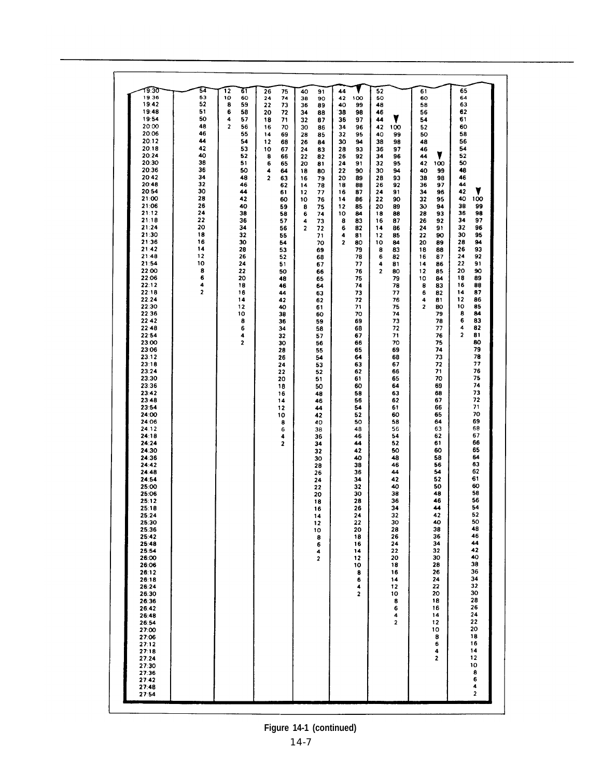| 19:30<br>19.36<br>19:42<br>19:48<br>19:54<br>20:00<br>20:06<br>20:12<br>20:18<br>20:24<br>20:30<br>20:36<br>20:42<br>20:48<br>20:54<br>21:00<br>21:06<br>21:12<br>21:18<br>21:24<br>21:30<br>21:36<br>21:42<br>21:48<br>21:54<br>22:00<br>22:06<br>22:12<br>22:18<br>22:24<br>22:30<br>22:36<br>22:42<br>22:48<br>22:54<br>23:00<br>23:06<br>23:12<br>23:18<br>23:24<br>23:30<br>23:36<br>23:42<br>23:48<br>23:54<br>24:00<br>24:06<br>24.12<br>24:18<br>24:24<br>24:30<br>24:36<br>24:42<br>24.48<br>24:54<br>25:00<br>25:06<br>25:12<br>25:18<br>25:24<br>25:30<br>25:36<br>25:42<br>25:48<br>25:54<br>26:00<br>26:06<br>26:12<br>26:18<br>26:24<br>26:30<br>26:36<br>26:42<br>26:48<br>26:54<br>27:00<br>27:06<br>27:12<br>27:18<br>27:24<br>27:30<br>27:36<br>27:42<br>27:48<br>27:54 | 54<br>63<br>52<br>51<br>50<br>48<br>46<br>44<br>42<br>40<br>38<br>36<br>34<br>32<br>30<br>28<br>26<br>24<br>22<br>20<br>18<br>16<br>14<br>12<br>10<br>8<br>6<br>4<br>$\overline{2}$ | 12<br>61<br>10<br>60<br>8<br>59<br>6<br>58<br>4<br>57<br>$\overline{\mathbf{c}}$<br>56<br>55<br>54<br>53<br>52<br>51<br>50<br>48<br>46<br>44<br>42<br>40<br>38<br>36<br>34<br>32<br>30<br>28<br>26<br>24<br>22<br>20<br>18<br>16<br>14<br>12<br>10<br>8<br>6<br>4<br>2 | 26<br>75<br>24<br>74<br>22<br>73<br>20<br>72<br>71<br>18<br>16<br>70<br>14<br>69<br>12<br>68<br>10<br>67<br>8<br>66<br>6<br>65<br>4<br>64<br>2<br>63<br>62<br>61<br>60<br>59<br>58<br>57<br>56<br>55<br>54<br>53<br>52<br>51<br>50<br>48<br>46<br>44<br>42<br>40<br>38<br>36<br>34<br>32<br>30<br>28<br>26<br>24<br>22<br>20<br>18<br>16<br>14<br>12<br>10<br>8<br>6<br>4<br>$\overline{\mathbf{c}}$ | 40<br>91<br>38<br>90<br>36<br>89<br>34<br>88<br>32<br>87<br>30<br>86<br>28<br>85<br>26<br>84<br>24<br>83<br>22<br>82<br>20<br>81<br>18<br>80<br>16<br>79<br>14<br>78<br>12<br>77<br>10<br>76<br>8<br>75<br>6<br>74<br>73<br>4<br>2<br>72<br>71<br>70<br>69<br>68<br>67<br>66<br>65<br>64<br>63<br>62<br>61<br>60<br>59<br>58<br>57<br>56<br>55<br>54<br>53<br>52<br>51<br>50<br>48<br>46<br>44<br>42<br>40<br>38<br>36<br>34<br>32<br>30<br>28<br>26<br>24<br>22<br>20<br>18<br>16<br>14<br>12<br>10<br>8<br>6<br>4<br>$\overline{\mathbf{z}}$ | 44<br>100<br>42<br>40<br>99<br>38<br>98<br>36<br>97<br>34<br>96<br>32<br>95<br>30<br>94<br>28<br>93<br>26<br>92<br>24<br>91<br>22<br>90<br>20<br>89<br>18<br>88<br>16<br>87<br>14<br>86<br>12<br>85<br>10<br>84<br>8<br>83<br>6<br>82<br>4<br>81<br>$\overline{\mathbf{z}}$<br>80<br>79<br>78<br>77<br>76<br>75<br>74<br>73<br>72<br>71<br>70<br>69<br>68<br>67<br>66<br>65<br>64<br>63<br>62<br>61<br>60<br>58<br>56<br>54<br>52<br>50<br>48<br>46<br>44<br>42<br>40<br>38<br>36<br>34<br>32<br>30<br>28<br>26<br>24<br>22<br>20<br>18<br>16<br>14<br>12<br>10<br>8<br>6<br>4<br>2 | 52<br>50<br>48<br>46<br>Y<br>44<br>42<br>100<br>40<br>99<br>38<br>98<br>36<br>97<br>34<br>96<br>32<br>95<br>30<br>94<br>28<br>93<br>26<br>92<br>24<br>91<br>22<br>90<br>20<br>89<br>18<br>88<br>16<br>87<br>14<br>86<br>12<br>85<br>10<br>84<br>8<br>83<br>6<br>82<br>4<br>81<br>2<br>80<br>79<br>78<br>77<br>76<br>75<br>74<br>73<br>72<br>71<br>70<br>69<br>68<br>67<br>66<br>65<br>64<br>63<br>62<br>61<br>60<br>58<br>56<br>54<br>52<br>50<br>48<br>46<br>44<br>42<br>40<br>38<br>36<br>34<br>32<br>30<br>28<br>26<br>24<br>22<br>20<br>18<br>16<br>14<br>12<br>10<br>8<br>6<br>4<br>$\overline{\mathbf{2}}$ | 61<br>60<br>58<br>56<br>54<br>52<br>50<br>48<br>46<br>V<br>44<br>42<br>100<br>99<br>40<br>98<br>38<br>97<br>36<br>34<br>96<br>32<br>95<br>30<br>94<br>28<br>93<br>26<br>92<br>24<br>91<br>22<br>90<br>20<br>89<br>18<br>88<br>16<br>87<br>14<br>86<br>12<br>85<br>10<br>84<br>8<br>83<br>6<br>82<br>4<br>81<br>2<br>80<br>79<br>78<br>77<br>76<br>75<br>74<br>73<br>72<br>71<br>70<br>69<br>68<br>67<br>66<br>65<br>64<br>63<br>62<br>61<br>60<br>58<br>56<br>54<br>52<br>50<br>48<br>46<br>44<br>42<br>40<br>38<br>36<br>34<br>32<br>30<br>28<br>26<br>24<br>22<br>20<br>18<br>16<br>14<br>12<br>10<br>8<br>6<br>4<br>2 | 65<br>64<br>63<br>62<br>61<br>60<br>58<br>56<br>54<br>52<br>50<br>48<br>46<br>44<br>v<br>42<br>40<br>100<br>38<br>99<br>36<br>98<br>34<br>97<br>32<br>96<br>30<br>95<br>28<br>94<br>26<br>93<br>24<br>92<br>22<br>91<br>20<br>90<br>18<br>89<br>16<br>88<br>14<br>87<br>12<br>86<br>10<br>85<br>8<br>84<br>6<br>83<br>4<br>82<br>2<br>81<br>80<br>79<br>78<br>77<br>76<br>75<br>74<br>73<br>72<br>71<br>70<br>69<br>68<br>67<br>66<br>65<br>64<br>63<br>62<br>61<br>60<br>58<br>56<br>54<br>52<br>50<br>48<br>46<br>44<br>42<br>40<br>38<br>36<br>34<br>32<br>30<br>28<br>26<br>24<br>22<br>20<br>18<br>16<br>14<br>12<br>10<br>8<br>6<br>4<br>2 |  |
|-------------------------------------------------------------------------------------------------------------------------------------------------------------------------------------------------------------------------------------------------------------------------------------------------------------------------------------------------------------------------------------------------------------------------------------------------------------------------------------------------------------------------------------------------------------------------------------------------------------------------------------------------------------------------------------------------------------------------------------------------------------------------------------------|-------------------------------------------------------------------------------------------------------------------------------------------------------------------------------------|------------------------------------------------------------------------------------------------------------------------------------------------------------------------------------------------------------------------------------------------------------------------|------------------------------------------------------------------------------------------------------------------------------------------------------------------------------------------------------------------------------------------------------------------------------------------------------------------------------------------------------------------------------------------------------|------------------------------------------------------------------------------------------------------------------------------------------------------------------------------------------------------------------------------------------------------------------------------------------------------------------------------------------------------------------------------------------------------------------------------------------------------------------------------------------------------------------------------------------------|-------------------------------------------------------------------------------------------------------------------------------------------------------------------------------------------------------------------------------------------------------------------------------------------------------------------------------------------------------------------------------------------------------------------------------------------------------------------------------------------------------------------------------------------------------------------------------------|------------------------------------------------------------------------------------------------------------------------------------------------------------------------------------------------------------------------------------------------------------------------------------------------------------------------------------------------------------------------------------------------------------------------------------------------------------------------------------------------------------------------------------------------------------------------------------------------------------------|--------------------------------------------------------------------------------------------------------------------------------------------------------------------------------------------------------------------------------------------------------------------------------------------------------------------------------------------------------------------------------------------------------------------------------------------------------------------------------------------------------------------------------------------------------------------------------------------------------------------------|--------------------------------------------------------------------------------------------------------------------------------------------------------------------------------------------------------------------------------------------------------------------------------------------------------------------------------------------------------------------------------------------------------------------------------------------------------------------------------------------------------------------------------------------------------------------------------------------------------------------------------------------------|--|

**Figure 14-1 (continued)** 14-7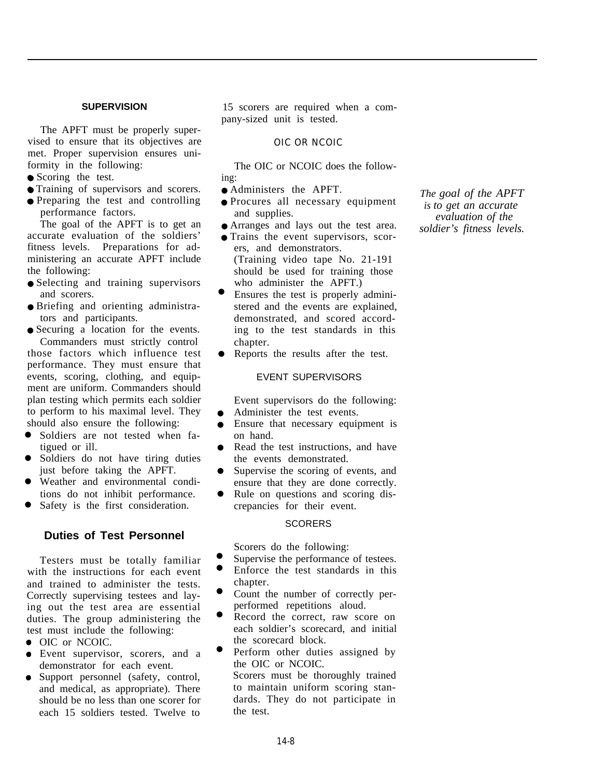# **SUPERVISION**

The APFT must be properly supervised to ensure that its objectives are met. Proper supervision ensures uniformity in the following:

- Scoring the test.
- Training of supervisors and scorers.
- Preparing the test and controlling performance factors.

The goal of the APFT is to get an accurate evaluation of the soldiers' fitness levels. Preparations for administering an accurate APFT include the following:

- Selecting and training supervisors and scorers.
- Briefing and orienting administrators and participants.
- Securing a location for the events. Commanders must strictly control

those factors which influence test performance. They must ensure that events, scoring, clothing, and equipment are uniform. Commanders should plan testing which permits each soldier to perform to his maximal level. They should also ensure the following:

- Soldiers are not tested when fatigued or ill.
- Soldiers do not have tiring duties just before taking the APFT.
- Weather and environmental conditions do not inhibit performance.
- Safety is the first consideration.

# **Duties of Test Personnel**

Testers must be totally familiar with the instructions for each event and trained to administer the tests. Correctly supervising testees and laying out the test area are essential duties. The group administering the test must include the following:

- $\bullet$  OIC or NCOIC.
- Event supervisor, scorers, and a demonstrator for each event.
- Support personnel (safety, control, and medical, as appropriate). There should be no less than one scorer for each 15 soldiers tested. Twelve to

15 scorers are required when a company-sized unit is tested.

#### OIC OR NCOIC

The OIC or NCOIC does the following:

- Administers the APFT. *The goal of the APFT*
- Procures all necessary equipment and supplies.
- Arranges and lays out the test area.
- Trains the event supervisors, scorers, and demonstrators. (Training video tape No. 21-191 should be used for training those who administer the APFT.)
- Ensures the test is properly administered and the events are explained, demonstrated, and scored according to the test standards in this chapter.
- Reports the results after the test.

# EVENT SUPERVISORS

Event supervisors do the following:

- Administer the test events.
- Ensure that necessary equipment is on hand.
- Read the test instructions, and have the events demonstrated.
- Supervise the scoring of events, and ensure that they are done correctly.
- Rule on questions and scoring discrepancies for their event.

# **SCORERS**

- Scorers do the following:
- ● Supervise the performance of testees.
- Enforce the test standards in this chapter.
- Count the number of correctly perperformed repetitions aloud.
- Record the correct, raw score on each soldier's scorecard, and initial the scorecard block.
- Perform other duties assigned by the OIC or NCOIC. Scorers must be thoroughly trained to maintain uniform scoring standards. They do not participate in the test.

*is to get an accurate evaluation of the soldier's fitness levels.*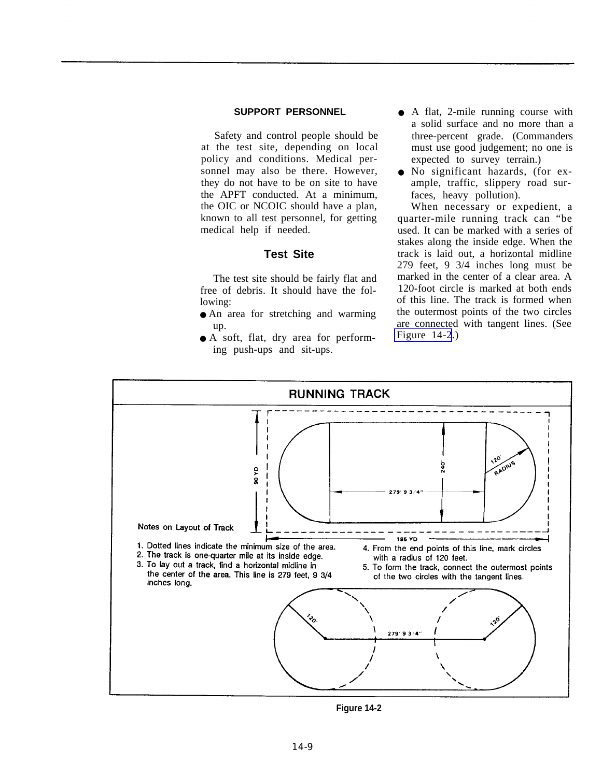#### **SUPPORT PERSONNEL**

Safety and control people should be at the test site, depending on local policy and conditions. Medical personnel may also be there. However, they do not have to be on site to have the APFT conducted. At a minimum, the OIC or NCOIC should have a plan, known to all test personnel, for getting medical help if needed.

# **Test Site**

The test site should be fairly flat and free of debris. It should have the following:

- An area for stretching and warming up.
- A soft, flat, dry area for performing push-ups and sit-ups.
- A flat, 2-mile running course with a solid surface and no more than a three-percent grade. (Commanders must use good judgement; no one is expected to survey terrain.)
- No significant hazards, (for example, traffic, slippery road surfaces, heavy pollution).

When necessary or expedient, a quarter-mile running track can "be used. It can be marked with a series of stakes along the inside edge. When the track is laid out, a horizontal midline 279 feet, 9 3/4 inches long must be marked in the center of a clear area. A 120-foot circle is marked at both ends of this line. The track is formed when the outermost points of the two circles are connected with tangent lines. (See Figure 14-2.)



**Figure 14-2**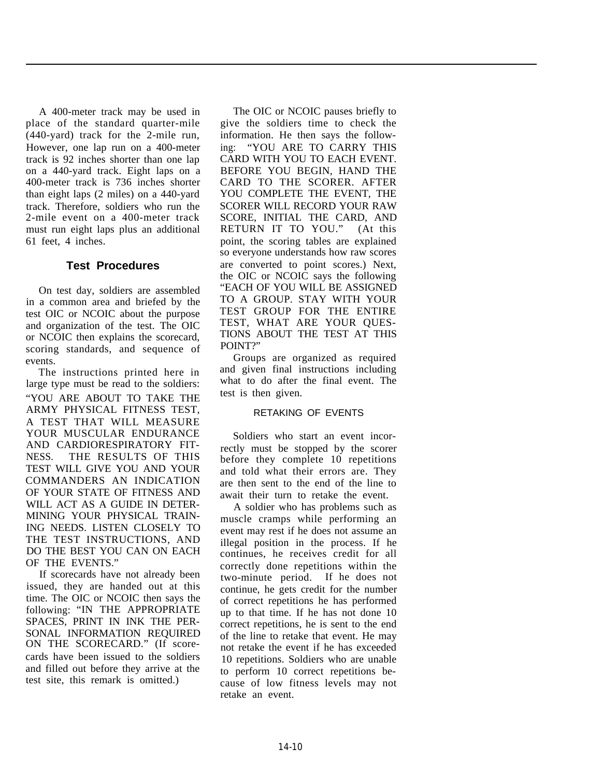A 400-meter track may be used in place of the standard quarter-mile (440-yard) track for the 2-mile run, However, one lap run on a 400-meter track is 92 inches shorter than one lap on a 440-yard track. Eight laps on a 400-meter track is 736 inches shorter than eight laps (2 miles) on a 440-yard track. Therefore, soldiers who run the 2-mile event on a 400-meter track must run eight laps plus an additional 61 feet, 4 inches.

# **Test Procedures**

On test day, soldiers are assembled in a common area and briefed by the test OIC or NCOIC about the purpose and organization of the test. The OIC or NCOIC then explains the scorecard, scoring standards, and sequence of events.

The instructions printed here in large type must be read to the soldiers: "YOU ARE ABOUT TO TAKE THE ARMY PHYSICAL FITNESS TEST, A TEST THAT WILL MEASURE YOUR MUSCULAR ENDURANCE AND CARDIORESPIRATORY FIT-NESS. THE RESULTS OF THIS TEST WILL GIVE YOU AND YOUR COMMANDERS AN INDICATION OF YOUR STATE OF FITNESS AND WILL ACT AS A GUIDE IN DETER-MINING YOUR PHYSICAL TRAIN-ING NEEDS. LISTEN CLOSELY TO THE TEST INSTRUCTIONS, AND DO THE BEST YOU CAN ON EACH OF THE EVENTS."

If scorecards have not already been issued, they are handed out at this time. The OIC or NCOIC then says the following: "IN THE APPROPRIATE SPACES, PRINT IN INK THE PER-SONAL INFORMATION REQUIRED ON THE SCORECARD." (If scorecards have been issued to the soldiers and filled out before they arrive at the test site, this remark is omitted.)

The OIC or NCOIC pauses briefly to give the soldiers time to check the information. He then says the following: "YOU ARE TO CARRY THIS CARD WITH YOU TO EACH EVENT. BEFORE YOU BEGIN, HAND THE CARD TO THE SCORER. AFTER YOU COMPLETE THE EVENT, THE SCORER WILL RECORD YOUR RAW SCORE, INITIAL THE CARD, AND RETURN IT TO YOU." (At this point, the scoring tables are explained so everyone understands how raw scores are converted to point scores.) Next, the OIC or NCOIC says the following "EACH OF YOU WILL BE ASSIGNED TO A GROUP. STAY WITH YOUR TEST GROUP FOR THE ENTIRE TEST, WHAT ARE YOUR QUES-TIONS ABOUT THE TEST AT THIS POINT?"

Groups are organized as required and given final instructions including what to do after the final event. The test is then given.

# RETAKING OF EVENTS

Soldiers who start an event incorrectly must be stopped by the scorer before they complete 10 repetitions and told what their errors are. They are then sent to the end of the line to await their turn to retake the event.

A soldier who has problems such as muscle cramps while performing an event may rest if he does not assume an illegal position in the process. If he continues, he receives credit for all correctly done repetitions within the two-minute period. If he does not continue, he gets credit for the number of correct repetitions he has performed up to that time. If he has not done 10 correct repetitions, he is sent to the end of the line to retake that event. He may not retake the event if he has exceeded 10 repetitions. Soldiers who are unable to perform 10 correct repetitions because of low fitness levels may not retake an event.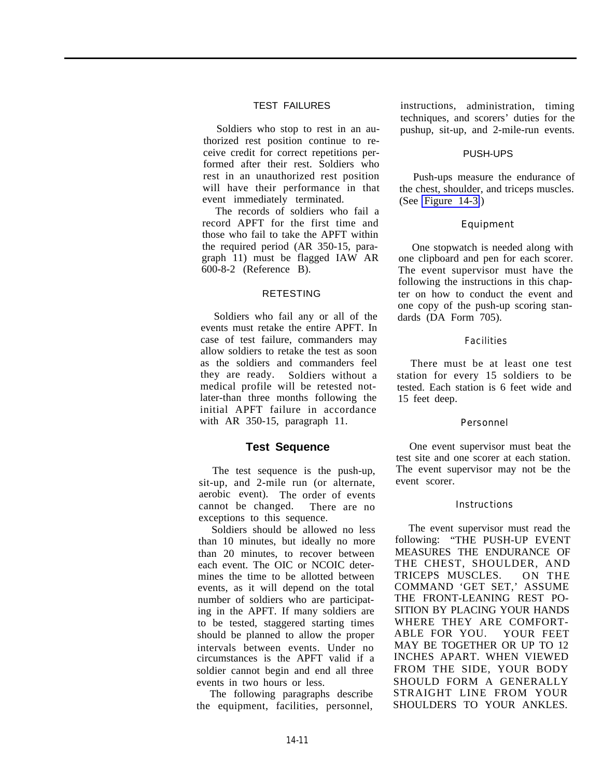#### TEST FAILURES

Soldiers who stop to rest in an authorized rest position continue to receive credit for correct repetitions performed after their rest. Soldiers who rest in an unauthorized rest position will have their performance in that event immediately terminated.

The records of soldiers who fail a record APFT for the first time and those who fail to take the APFT within the required period (AR 350-15, paragraph 11) must be flagged IAW AR 600-8-2 (Reference B).

#### RETESTING

Soldiers who fail any or all of the events must retake the entire APFT. In case of test failure, commanders may allow soldiers to retake the test as soon as the soldiers and commanders feel they are ready. Soldiers without a medical profile will be retested notlater-than three months following the initial APFT failure in accordance with AR 350-15, paragraph 11.

### **Test Sequence**

The test sequence is the push-up, sit-up, and 2-mile run (or alternate, aerobic event). The order of events cannot be changed. There are no exceptions to this sequence.

Soldiers should be allowed no less than 10 minutes, but ideally no more than 20 minutes, to recover between each event. The OIC or NCOIC determines the time to be allotted between events, as it will depend on the total number of soldiers who are participating in the APFT. If many soldiers are to be tested, staggered starting times should be planned to allow the proper intervals between events. Under no circumstances is the APFT valid if a soldier cannot begin and end all three events in two hours or less.

The following paragraphs describe the equipment, facilities, personnel,

instructions, administration, timing techniques, and scorers' duties for the pushup, sit-up, and 2-mile-run events.

#### PUSH-UPS

Push-ups measure the endurance of the chest, shoulder, and triceps muscles. (See [Figure 14-3.](#page-11-0))

#### Equipment

One stopwatch is needed along with one clipboard and pen for each scorer. The event supervisor must have the following the instructions in this chapter on how to conduct the event and one copy of the push-up scoring standards (DA Form 705).

# Facilities

There must be at least one test station for every 15 soldiers to be tested. Each station is 6 feet wide and 15 feet deep.

#### Personnel

One event supervisor must beat the test site and one scorer at each station. The event supervisor may not be the event scorer.

#### **Instructions**

The event supervisor must read the following: "THE PUSH-UP EVENT MEASURES THE ENDURANCE OF THE CHEST, SHOULDER, AND TRICEPS MUSCLES. ON THE COMMAND 'GET SET,' ASSUME THE FRONT-LEANING REST PO-SITION BY PLACING YOUR HANDS WHERE THEY ARE COMFORT-ABLE FOR YOU. YOUR FEET MAY BE TOGETHER OR UP TO 12 INCHES APART. WHEN VIEWED FROM THE SIDE, YOUR BODY SHOULD FORM A GENERALLY STRAIGHT LINE FROM YOUR SHOULDERS TO YOUR ANKLES.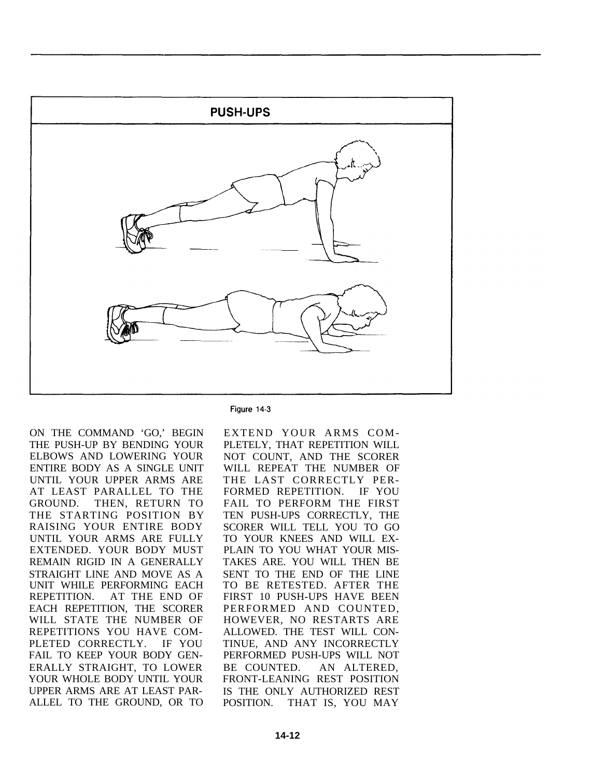<span id="page-11-0"></span>

Figure 14-3

ON THE COMMAND 'GO,' BEGIN THE PUSH-UP BY BENDING YOUR ELBOWS AND LOWERING YOUR ENTIRE BODY AS A SINGLE UNIT UNTIL YOUR UPPER ARMS ARE AT LEAST PARALLEL TO THE GROUND. THEN, RETURN TO THE STARTING POSITION BY RAISING YOUR ENTIRE BODY UNTIL YOUR ARMS ARE FULLY EXTENDED. YOUR BODY MUST REMAIN RIGID IN A GENERALLY STRAIGHT LINE AND MOVE AS A UNIT WHILE PERFORMING EACH REPETITION. AT THE END OF EACH REPETITION, THE SCORER WILL STATE THE NUMBER OF REPETITIONS YOU HAVE COM-PLETED CORRECTLY. IF YOU FAIL TO KEEP YOUR BODY GEN-ERALLY STRAIGHT, TO LOWER YOUR WHOLE BODY UNTIL YOUR UPPER ARMS ARE AT LEAST PAR-ALLEL TO THE GROUND, OR TO

EXTEND YOUR ARMS COM-PLETELY, THAT REPETITION WILL NOT COUNT, AND THE SCORER WILL REPEAT THE NUMBER OF THE LAST CORRECTLY PER-FORMED REPETITION. IF YOU FAIL TO PERFORM THE FIRST TEN PUSH-UPS CORRECTLY, THE SCORER WILL TELL YOU TO GO TO YOUR KNEES AND WILL EX-PLAIN TO YOU WHAT YOUR MIS-TAKES ARE. YOU WILL THEN BE SENT TO THE END OF THE LINE TO BE RETESTED. AFTER THE FIRST 10 PUSH-UPS HAVE BEEN PERFORMED AND COUNTED, HOWEVER, NO RESTARTS ARE ALLOWED. THE TEST WILL CON-TINUE, AND ANY INCORRECTLY PERFORMED PUSH-UPS WILL NOT BE COUNTED. AN ALTERED, FRONT-LEANING REST POSITION IS THE ONLY AUTHORIZED REST POSITION. THAT IS, YOU MAY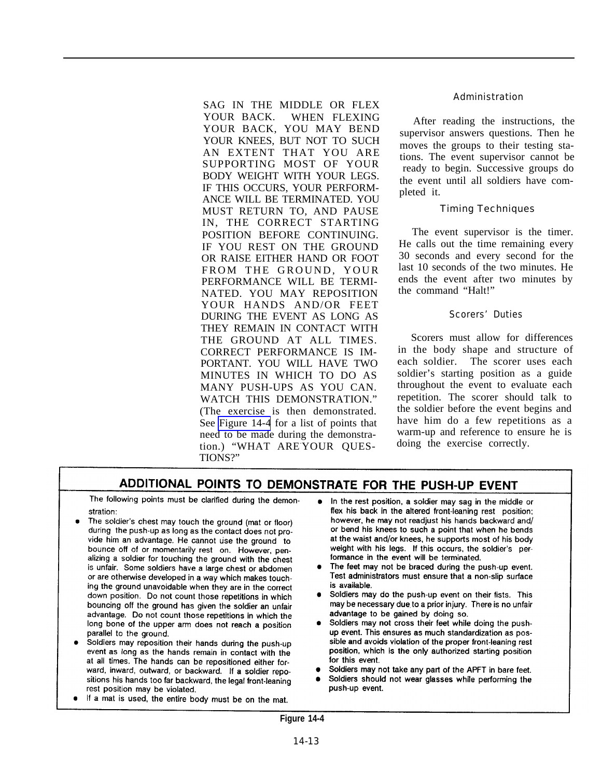SAG IN THE MIDDLE OR FLEX YOUR BACK. WHEN FLEXING YOUR BACK, YOU MAY BEND YOUR KNEES, BUT NOT TO SUCH AN EXTENT THAT YOU ARE SUPPORTING MOST OF YOUR BODY WEIGHT WITH YOUR LEGS. IF THIS OCCURS, YOUR PERFORM-ANCE WILL BE TERMINATED. YOU MUST RETURN TO, AND PAUSE IN, THE CORRECT STARTING POSITION BEFORE CONTINUING. IF YOU REST ON THE GROUND OR RAISE EITHER HAND OR FOOT FROM THE GROUND, YOUR PERFORMANCE WILL BE TERMI-NATED. YOU MAY REPOSITION YOUR HANDS AND/OR FEET DURING THE EVENT AS LONG AS THEY REMAIN IN CONTACT WITH THE GROUND AT ALL TIMES. CORRECT PERFORMANCE IS IM-PORTANT. YOU WILL HAVE TWO MINUTES IN WHICH TO DO AS MANY PUSH-UPS AS YOU CAN. WATCH THIS DEMONSTRATION." (The exercise is then demonstrated. See Figure 14-4 for a list of points that need to be made during the demonstration.) "WHAT AREYOUR QUES- doing the exercise correctly. TIONS?"

# Administration

After reading the instructions, the supervisor answers questions. Then he moves the groups to their testing stations. The event supervisor cannot be ready to begin. Successive groups do the event until all soldiers have completed it.

#### Timing Techniques

The event supervisor is the timer. He calls out the time remaining every 30 seconds and every second for the last 10 seconds of the two minutes. He ends the event after two minutes by the command "Halt!"

# Scorers' Duties

Scorers must allow for differences in the body shape and structure of each soldier. The scorer uses each soldier's starting position as a guide throughout the event to evaluate each repetition. The scorer should talk to the soldier before the event begins and have him do a few repetitions as a warm-up and reference to ensure he is

# ADDITIONAL POINTS TO DEMONSTRATE FOR THE PUSH-UP EVENT

The following points must be clarified during the demonstration:

- The soldier's chest may touch the ground (mat or floor) during the push-up as long as the contact does not provide him an advantage. He cannot use the ground to bounce off of or momentarily rest on. However, penalizing a soldier for touching the ground with the chest is unfair. Some soldiers have a large chest or abdomen or are otherwise developed in a way which makes touching the ground unavoidable when they are in the correct down position. Do not count those repetitions in which bouncing off the ground has given the soldier an unfair advantage. Do not count those repetitions in which the long bone of the upper arm does not reach a position parallel to the ground.
- Soldiers may reposition their hands during the push-up event as long as the hands remain in contact with the at all times. The hands can be repositioned either forward, inward, outward, or backward. If a soldier repositions his hands too far backward, the legal front-leaning rest position may be violated.
- In the rest position, a soldier may sag in the middle or flex his back in the altered front-leaning rest position; however, he may not readjust his hands backward and/ or bend his knees to such a point that when he bends at the waist and/or knees, he supports most of his body weight with his legs. If this occurs, the soldier's performance in the event will be terminated.
- The feet may not be braced during the push-up event. Test administrators must ensure that a non-slip surface is available.
- Soldiers may do the push-up event on their fists. This may be necessary due to a prior injury. There is no unfair advantage to be gained by doing so.
- Soldiers may not cross their feet while doing the pushup event. This ensures as much standardization as possible and avoids violation of the proper front-leaning rest position, which is the only authorized starting position for this event.
- Soldiers may not take any part of the APFT in bare feet.
- Soldiers should not wear glasses while performing the push-up event.
- If a mat is used, the entire body must be on the mat.

**Figure 14-4**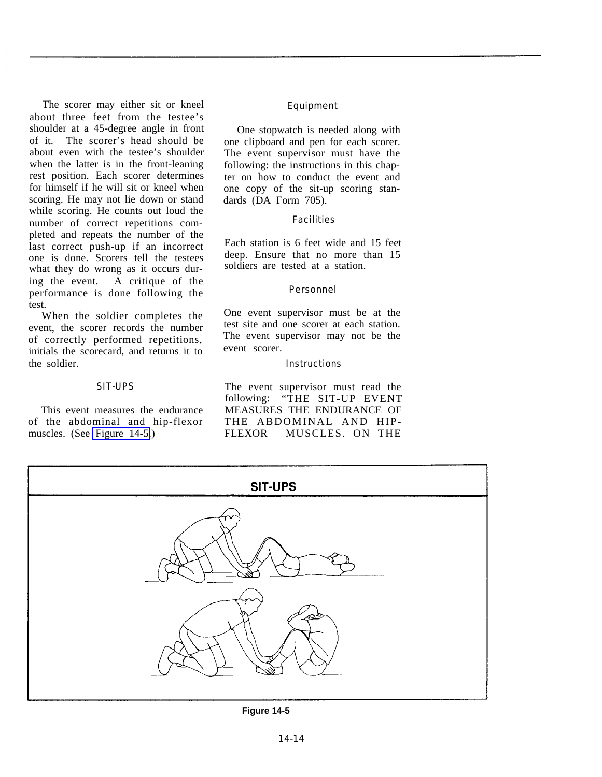The scorer may either sit or kneel about three feet from the testee's shoulder at a 45-degree angle in front of it. The scorer's head should be about even with the testee's shoulder when the latter is in the front-leaning rest position. Each scorer determines for himself if he will sit or kneel when scoring. He may not lie down or stand while scoring. He counts out loud the number of correct repetitions completed and repeats the number of the last correct push-up if an incorrect one is done. Scorers tell the testees what they do wrong as it occurs during the event. A critique of the performance is done following the test.

When the soldier completes the event, the scorer records the number of correctly performed repetitions, initials the scorecard, and returns it to the soldier.

# SIT-UPS

This event measures the endurance of the abdominal and hip-flexor muscles. (See Figure 14-5.)

# Equipment

One stopwatch is needed along with one clipboard and pen for each scorer. The event supervisor must have the following: the instructions in this chapter on how to conduct the event and one copy of the sit-up scoring standards (DA Form 705).

# Facilities

Each station is 6 feet wide and 15 feet deep. Ensure that no more than 15 soldiers are tested at a station.

### Personnel

One event supervisor must be at the test site and one scorer at each station. The event supervisor may not be the event scorer.

# **Instructions**

The event supervisor must read the following: "THE SIT-UP EVENT MEASURES THE ENDURANCE OF THE ABDOMINAL AND HIP-FLEXOR MUSCLES. ON THE



**Figure 14-5**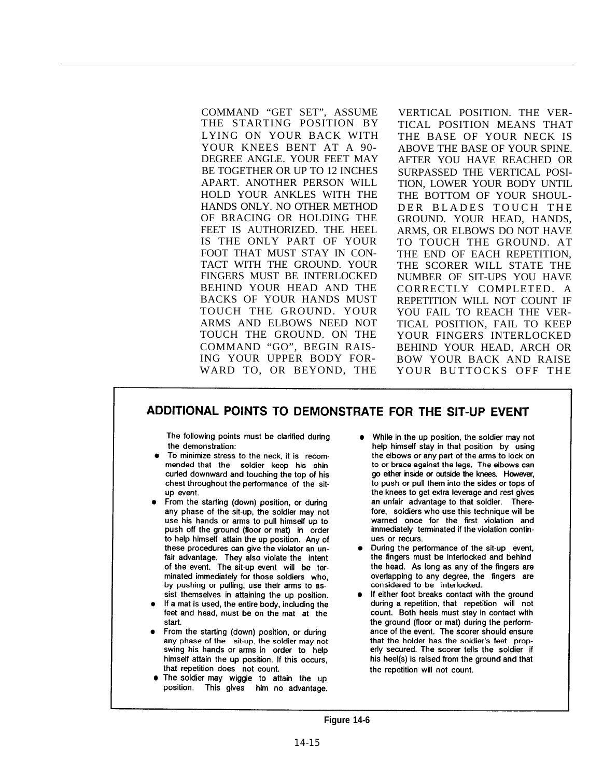<span id="page-14-0"></span>COMMAND "GET SET", ASSUME THE STARTING POSITION BY LYING ON YOUR BACK WITH YOUR KNEES BENT AT A 90- DEGREE ANGLE. YOUR FEET MAY BE TOGETHER OR UP TO 12 INCHES APART. ANOTHER PERSON WILL HOLD YOUR ANKLES WITH THE HANDS ONLY. NO OTHER METHOD OF BRACING OR HOLDING THE FEET IS AUTHORIZED. THE HEEL IS THE ONLY PART OF YOUR FOOT THAT MUST STAY IN CON-TACT WITH THE GROUND. YOUR FINGERS MUST BE INTERLOCKED BEHIND YOUR HEAD AND THE BACKS OF YOUR HANDS MUST TOUCH THE GROUND. YOUR ARMS AND ELBOWS NEED NOT TOUCH THE GROUND. ON THE COMMAND "GO", BEGIN RAIS-ING YOUR UPPER BODY FOR-WARD TO, OR BEYOND, THE

VERTICAL POSITION. THE VER-TICAL POSITION MEANS THAT THE BASE OF YOUR NECK IS ABOVE THE BASE OF YOUR SPINE. AFTER YOU HAVE REACHED OR SURPASSED THE VERTICAL POSI-TION, LOWER YOUR BODY UNTIL THE BOTTOM OF YOUR SHOUL-DER BLADES TOUCH THE GROUND. YOUR HEAD, HANDS, ARMS, OR ELBOWS DO NOT HAVE TO TOUCH THE GROUND. AT THE END OF EACH REPETITION, THE SCORER WILL STATE THE NUMBER OF SIT-UPS YOU HAVE CORRECTLY COMPLETED. A REPETITION WILL NOT COUNT IF YOU FAIL TO REACH THE VER-TICAL POSITION, FAIL TO KEEP YOUR FINGERS INTERLOCKED BEHIND YOUR HEAD, ARCH OR BOW YOUR BACK AND RAISE YOUR BUTTOCKS OFF THE

# ADDITIONAL POINTS TO DEMONSTRATE FOR THE SIT-UP EVENT

The following points must be clarified during the demonstration:

- To minimize stress to the neck, it is recommended that the soldier keep his chin curled downward and touching the top of his chest throughout the performance of the situp event.
- From the starting (down) position, or during any phase of the sit-up, the soldier may not use his hands or arms to pull himself up to push off the ground (floor or mat) in order to help himself attain the up position. Any of these procedures can give the violator an unfair advantage. They also violate the intent of the event. The sit-up event will be terminated immediately for those soldiers who, by pushing or pulling, use their arms to assist themselves in attaining the up position.
- If a mat is used, the entire body, including the feet and head, must be on the mat at the start.
- From the starting (down) position, or during any phase of the sit-up, the soldier may not swing his hands or arms in order to help himself attain the up position. If this occurs, that repetition does not count.
- The soldier may wiggle to attain the up position. This gives him no advantage.
- While in the up position, the soldier may not  $\bullet$ help himself stay in that position by using the elbows or any part of the arms to lock on to or brace against the legs. The elbows can go either inside or outside the knees. However, to push or pull them into the sides or tops of the knees to get extra leverage and rest gives an unfair advantage to that soldier. Therefore, soldiers who use this technique will be warned once for the first violation and immediately terminated if the violation continues or recurs.
- During the performance of the sit-up event, the fingers must be interlocked and behind the head. As long as any of the fingers are overlapping to any degree, the fingers are considered to be interlocked.
- If either foot breaks contact with the ground during a repetition, that repetition will not count. Both heels must stay in contact with the ground (floor or mat) during the performance of the event. The scorer should ensure that the holder has the soldier's feet properly secured. The scorer tells the soldier if his heel(s) is raised from the ground and that the repetition will not count.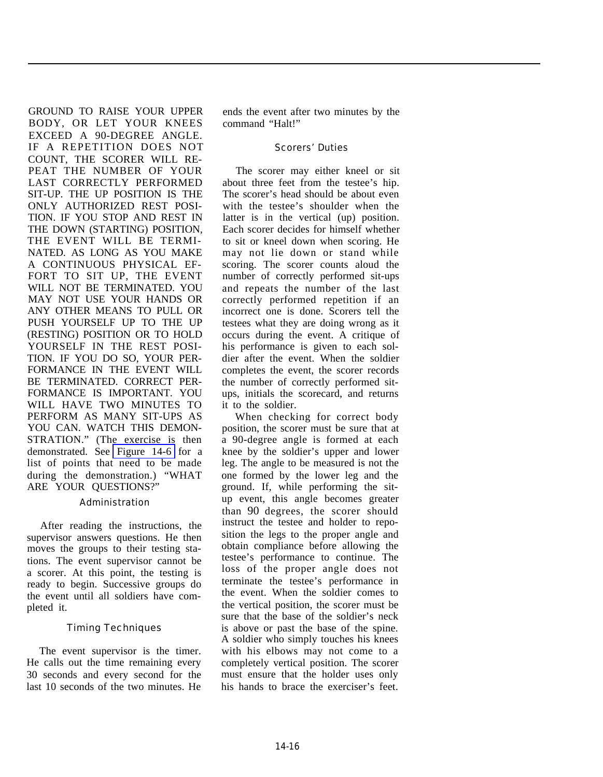GROUND TO RAISE YOUR UPPER BODY, OR LET YOUR KNEES EXCEED A 90-DEGREE ANGLE. IF A REPETITION DOES NOT COUNT, THE SCORER WILL RE-PEAT THE NUMBER OF YOUR LAST CORRECTLY PERFORMED SIT-UP. THE UP POSITION IS THE ONLY AUTHORIZED REST POSI-TION. IF YOU STOP AND REST IN THE DOWN (STARTING) POSITION, THE EVENT WILL BE TERMI-NATED. AS LONG AS YOU MAKE A CONTINUOUS PHYSICAL EF-FORT TO SIT UP, THE EVENT WILL NOT BE TERMINATED. YOU MAY NOT USE YOUR HANDS OR ANY OTHER MEANS TO PULL OR PUSH YOURSELF UP TO THE UP (RESTING) POSITION OR TO HOLD YOURSELF IN THE REST POSI-TION. IF YOU DO SO, YOUR PER-FORMANCE IN THE EVENT WILL BE TERMINATED. CORRECT PER-FORMANCE IS IMPORTANT. YOU WILL HAVE TWO MINUTES TO PERFORM AS MANY SIT-UPS AS YOU CAN. WATCH THIS DEMON-STRATION." (The exercise is then demonstrated. See [Figure 14-6](#page-14-0) for a list of points that need to be made during the demonstration.) "WHAT ARE YOUR QUESTIONS?"

# Administration

After reading the instructions, the supervisor answers questions. He then moves the groups to their testing stations. The event supervisor cannot be a scorer. At this point, the testing is ready to begin. Successive groups do the event until all soldiers have completed it.

# Timing Techniques

The event supervisor is the timer. He calls out the time remaining every 30 seconds and every second for the last 10 seconds of the two minutes. He ends the event after two minutes by the command "Halt!"

# Scorers' Duties

The scorer may either kneel or sit about three feet from the testee's hip. The scorer's head should be about even with the testee's shoulder when the latter is in the vertical (up) position. Each scorer decides for himself whether to sit or kneel down when scoring. He may not lie down or stand while scoring. The scorer counts aloud the number of correctly performed sit-ups and repeats the number of the last correctly performed repetition if an incorrect one is done. Scorers tell the testees what they are doing wrong as it occurs during the event. A critique of his performance is given to each soldier after the event. When the soldier completes the event, the scorer records the number of correctly performed situps, initials the scorecard, and returns it to the soldier.

When checking for correct body position, the scorer must be sure that at a 90-degree angle is formed at each knee by the soldier's upper and lower leg. The angle to be measured is not the one formed by the lower leg and the ground. If, while performing the situp event, this angle becomes greater than 90 degrees, the scorer should instruct the testee and holder to reposition the legs to the proper angle and obtain compliance before allowing the testee's performance to continue. The loss of the proper angle does not terminate the testee's performance in the event. When the soldier comes to the vertical position, the scorer must be sure that the base of the soldier's neck is above or past the base of the spine. A soldier who simply touches his knees with his elbows may not come to a completely vertical position. The scorer must ensure that the holder uses only his hands to brace the exerciser's feet.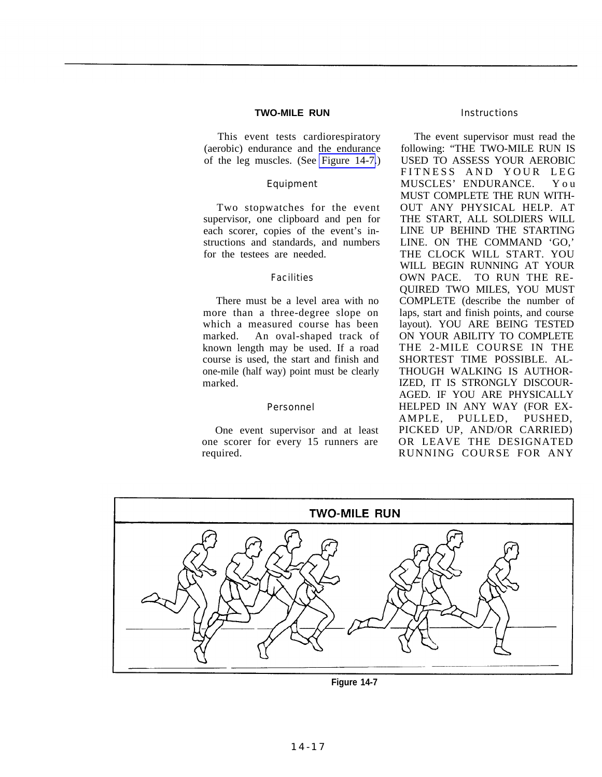# **TWO-MILE RUN**

This event tests cardiorespiratory (aerobic) endurance and the endurance of the leg muscles. (See Figure 14-7.)

### Equipment

Two stopwatches for the event supervisor, one clipboard and pen for each scorer, copies of the event's instructions and standards, and numbers for the testees are needed.

#### Facilities

There must be a level area with no more than a three-degree slope on which a measured course has been marked. An oval-shaped track of known length may be used. If a road course is used, the start and finish and one-mile (half way) point must be clearly marked.

#### Personnel

One event supervisor and at least one scorer for every 15 runners are required.

#### **Instructions**

The event supervisor must read the following: "THE TWO-MILE RUN IS USED TO ASSESS YOUR AEROBIC FITNESS AND YOUR LEG MUSCLES' ENDURANCE. Y o u MUST COMPLETE THE RUN WITH-OUT ANY PHYSICAL HELP. AT THE START, ALL SOLDIERS WILL LINE UP BEHIND THE STARTING LINE. ON THE COMMAND 'GO,' THE CLOCK WILL START. YOU WILL BEGIN RUNNING AT YOUR OWN PACE. TO RUN THE RE-QUIRED TWO MILES, YOU MUST COMPLETE (describe the number of laps, start and finish points, and course layout). YOU ARE BEING TESTED ON YOUR ABILITY TO COMPLETE THE 2-MILE COURSE IN THE SHORTEST TIME POSSIBLE. AL-THOUGH WALKING IS AUTHOR-IZED, IT IS STRONGLY DISCOUR-AGED. IF YOU ARE PHYSICALLY HELPED IN ANY WAY (FOR EX-AMPLE, PULLED, PUSHED, PICKED UP, AND/OR CARRIED) OR LEAVE THE DESIGNATED RUNNING COURSE FOR ANY



**Figure 14-7**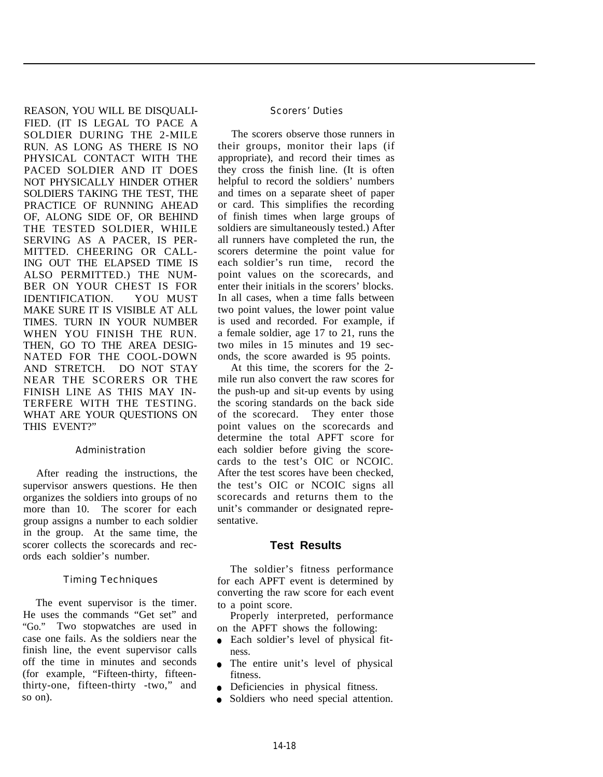REASON, YOU WILL BE DISQUALI-FIED. (IT IS LEGAL TO PACE A SOLDIER DURING THE 2-MILE RUN. AS LONG AS THERE IS NO PHYSICAL CONTACT WITH THE PACED SOLDIER AND IT DOES NOT PHYSICALLY HINDER OTHER SOLDIERS TAKING THE TEST, THE PRACTICE OF RUNNING AHEAD OF, ALONG SIDE OF, OR BEHIND THE TESTED SOLDIER, WHILE SERVING AS A PACER, IS PER-MITTED. CHEERING OR CALL-ING OUT THE ELAPSED TIME IS ALSO PERMITTED.) THE NUM-BER ON YOUR CHEST IS FOR IDENTIFICATION. YOU MUST MAKE SURE IT IS VISIBLE AT ALL TIMES. TURN IN YOUR NUMBER WHEN YOU FINISH THE RUN. THEN, GO TO THE AREA DESIG-NATED FOR THE COOL-DOWN AND STRETCH. DO NOT STAY NEAR THE SCORERS OR THE FINISH LINE AS THIS MAY IN-TERFERE WITH THE TESTING. WHAT ARE YOUR QUESTIONS ON THIS EVENT?"

# Administration

After reading the instructions, the supervisor answers questions. He then organizes the soldiers into groups of no more than 10. The scorer for each group assigns a number to each soldier in the group. At the same time, the scorer collects the scorecards and records each soldier's number.

### Timing Techniques

The event supervisor is the timer. He uses the commands "Get set" and "Go." Two stopwatches are used in case one fails. As the soldiers near the finish line, the event supervisor calls off the time in minutes and seconds (for example, "Fifteen-thirty, fifteenthirty-one, fifteen-thirty -two," and so on).

#### Scorers' Duties

The scorers observe those runners in their groups, monitor their laps (if appropriate), and record their times as they cross the finish line. (It is often helpful to record the soldiers' numbers and times on a separate sheet of paper or card. This simplifies the recording of finish times when large groups of soldiers are simultaneously tested.) After all runners have completed the run, the scorers determine the point value for each soldier's run time, record the point values on the scorecards, and enter their initials in the scorers' blocks. In all cases, when a time falls between two point values, the lower point value is used and recorded. For example, if a female soldier, age 17 to 21, runs the two miles in 15 minutes and 19 seconds, the score awarded is 95 points.

At this time, the scorers for the 2 mile run also convert the raw scores for the push-up and sit-up events by using the scoring standards on the back side of the scorecard. They enter those point values on the scorecards and determine the total APFT score for each soldier before giving the scorecards to the test's OIC or NCOIC. After the test scores have been checked, the test's OIC or NCOIC signs all scorecards and returns them to the unit's commander or designated representative.

# **Test Results**

The soldier's fitness performance for each APFT event is determined by converting the raw score for each event to a point score.

Properly interpreted, performance on the APFT shows the following:

- Each soldier's level of physical fitness.
- The entire unit's level of physical fitness.
- Deficiencies in physical fitness.
- Soldiers who need special attention.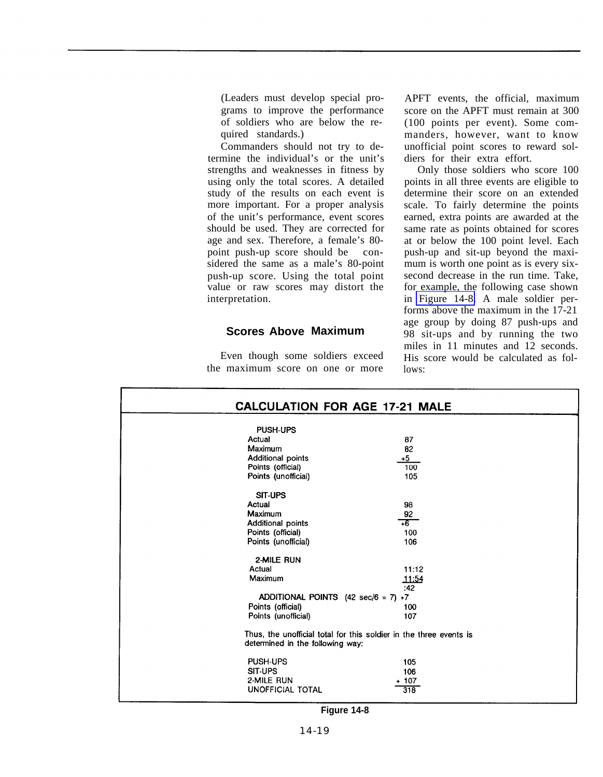(Leaders must develop special programs to improve the performance of soldiers who are below the required standards.)

Commanders should not try to determine the individual's or the unit's strengths and weaknesses in fitness by using only the total scores. A detailed study of the results on each event is more important. For a proper analysis of the unit's performance, event scores should be used. They are corrected for age and sex. Therefore, a female's 80 point push-up score should be considered the same as a male's 80-point push-up score. Using the total point value or raw scores may distort the interpretation.

# **Scores Above Maximum**

the maximum score on one or more lows:

APFT events, the official, maximum score on the APFT must remain at 300 (100 points per event). Some commanders, however, want to know unofficial point scores to reward soldiers for their extra effort.

Only those soldiers who score 100 points in all three events are eligible to determine their score on an extended scale. To fairly determine the points earned, extra points are awarded at the same rate as points obtained for scores at or below the 100 point level. Each push-up and sit-up beyond the maximum is worth one point as is every sixsecond decrease in the run time. Take, for example, the following case shown in Figure 14-8. A male soldier performs above the maximum in the 17-21 age group by doing 87 push-ups and 98 sit-ups and by running the two miles in 11 minutes and 12 seconds. Even though some soldiers exceed His score would be calculated as fol-

| <b>CALCULATION FOR AGE 17-21 MALE</b>                              |        |
|--------------------------------------------------------------------|--------|
|                                                                    |        |
| <b>PUSH-UPS</b>                                                    |        |
| Actual                                                             | 87     |
| Maximum                                                            | 82     |
| <b>Additional points</b>                                           | $+5$   |
| Points (official)                                                  | 100    |
| Points (unofficial)                                                | 105    |
| <b>SIT-UPS</b>                                                     |        |
| Actual                                                             | 98     |
| Maximum                                                            | 92     |
| <b>Additional points</b>                                           | -6     |
| Points (official)                                                  | 100    |
| Points (unofficial)                                                | 106    |
| 2-MILE RUN                                                         |        |
| Actual                                                             | 11:12  |
| Maximum                                                            | 11:54  |
|                                                                    | :42    |
| ADDITIONAL POINTS $(42 \text{ sec}/6 = 7) + 7$                     |        |
| Points (official)                                                  | 100    |
| Points (unofficial)                                                | 107    |
| Thus, the unofficial total for this soldier in the three events is |        |
| determined in the following way:                                   |        |
| PUSH-UPS                                                           | 105    |
| <b>SIT-UPS</b>                                                     | 106    |
| 2-MILE RUN                                                         | $+107$ |
| <b>UNOFFICIAL TOTAL</b>                                            | 318    |
|                                                                    |        |

**Figure 14-8**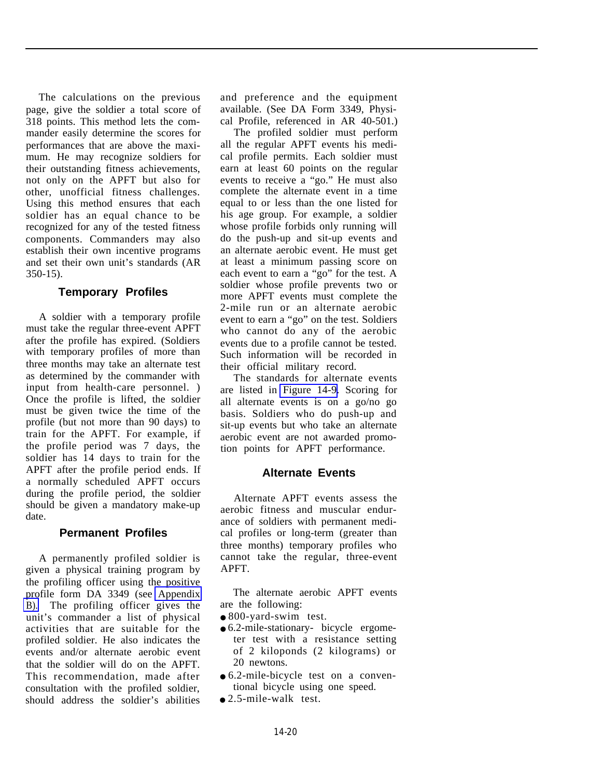The calculations on the previous page, give the soldier a total score of 318 points. This method lets the commander easily determine the scores for performances that are above the maximum. He may recognize soldiers for their outstanding fitness achievements, not only on the APFT but also for other, unofficial fitness challenges. Using this method ensures that each soldier has an equal chance to be recognized for any of the tested fitness components. Commanders may also establish their own incentive programs and set their own unit's standards (AR 350-15).

# **Temporary Profiles**

A soldier with a temporary profile must take the regular three-event APFT after the profile has expired. (Soldiers with temporary profiles of more than three months may take an alternate test as determined by the commander with input from health-care personnel. ) Once the profile is lifted, the soldier must be given twice the time of the profile (but not more than 90 days) to train for the APFT. For example, if the profile period was 7 days, the soldier has 14 days to train for the APFT after the profile period ends. If a normally scheduled APFT occurs during the profile period, the soldier should be given a mandatory make-up date.

# **Permanent Profiles**

A permanently profiled soldier is given a physical training program by the profiling officer using the positive profile form DA 3349 (see [Appendix](#page-0-0) [B\).](#page-0-0) The profiling officer gives the unit's commander a list of physical activities that are suitable for the profiled soldier. He also indicates the events and/or alternate aerobic event that the soldier will do on the APFT. This recommendation, made after consultation with the profiled soldier, should address the soldier's abilities

and preference and the equipment available. (See DA Form 3349, Physical Profile, referenced in AR 40-501.)

The profiled soldier must perform all the regular APFT events his medical profile permits. Each soldier must earn at least 60 points on the regular events to receive a "go." He must also complete the alternate event in a time equal to or less than the one listed for his age group. For example, a soldier whose profile forbids only running will do the push-up and sit-up events and an alternate aerobic event. He must get at least a minimum passing score on each event to earn a "go" for the test. A soldier whose profile prevents two or more APFT events must complete the 2-mile run or an alternate aerobic event to earn a "go" on the test. Soldiers who cannot do any of the aerobic events due to a profile cannot be tested. Such information will be recorded in their official military record.

The standards for alternate events are listed in [Figure 14-9.](#page-20-0) Scoring for all alternate events is on a go/no go basis. Soldiers who do push-up and sit-up events but who take an alternate aerobic event are not awarded promotion points for APFT performance.

# **Alternate Events**

Alternate APFT events assess the aerobic fitness and muscular endurance of soldiers with permanent medical profiles or long-term (greater than three months) temporary profiles who cannot take the regular, three-event APFT.

The alternate aerobic APFT events are the following:

- 800-yard-swim test.
- 6.2-mile-stationary- bicycle ergometer test with a resistance setting of 2 kiloponds (2 kilograms) or 20 newtons.
- 6.2-mile-bicycle test on a conventional bicycle using one speed.
- 2.5-mile-walk test.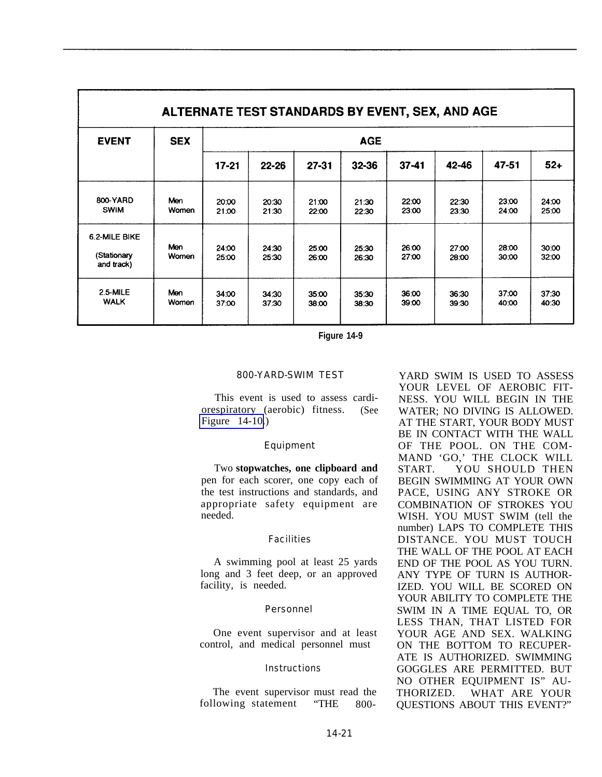<span id="page-20-0"></span>

|                                            | ALTERNATE TEST STANDARDS BY EVENT, SEX, AND AGE |                |                |                |                |                |                |                |                |  |  |
|--------------------------------------------|-------------------------------------------------|----------------|----------------|----------------|----------------|----------------|----------------|----------------|----------------|--|--|
| <b>EVENT</b>                               | <b>SEX</b>                                      | <b>AGE</b>     |                |                |                |                |                |                |                |  |  |
|                                            |                                                 | $17 - 21$      | 22-26          | $27 - 31$      | 32-36          | $37 - 41$      | 42-46          | 47-51          | $52+$          |  |  |
| 800-YARD<br><b>SWIM</b>                    | <b>Men</b><br>Women                             | 20:00<br>21:00 | 20:30<br>21:30 | 21:00<br>22:00 | 21:30<br>22:30 | 22:00<br>23:00 | 22:30<br>23:30 | 23:00<br>24:00 | 24:00<br>25:00 |  |  |
| 6.2-MILE BIKE<br>(Stationary<br>and track) | Men.<br>Women                                   | 24:00<br>25:00 | 24:30<br>25:30 | 25:00<br>26:00 | 25:30<br>26:30 | 26:00<br>27:00 | 27:00<br>28:00 | 28:00<br>30:00 | 30:00<br>32:00 |  |  |
| 2.5-MILE<br><b>WALK</b>                    | Men<br>Women                                    | 34:00<br>37:00 | 34:30<br>37:30 | 35:00<br>38:00 | 35:30<br>38:30 | 36:00<br>39:00 | 36:30<br>39:30 | 37:00<br>40:00 | 37:30<br>40:30 |  |  |

**Figure 14-9**

#### 800-YARD-SWIM TEST

This event is used to assess cardiorespiratory (aerobic) fitness. (See [Figure 14-10.](#page-21-0))

### Equipment

Two **stopwatches, one clipboard and** pen for each scorer, one copy each of the test instructions and standards, and appropriate safety equipment are needed.

### Facilities

A swimming pool at least 25 yards long and 3 feet deep, or an approved facility, is needed.

# Personnel

One event supervisor and at least control, and medical personnel must

### **Instructions**

The event supervisor must read the following statement

YARD SWIM IS USED TO ASSESS YOUR LEVEL OF AEROBIC FIT-NESS. YOU WILL BEGIN IN THE WATER; NO DIVING IS ALLOWED. AT THE START, YOUR BODY MUST BE IN CONTACT WITH THE WALL OF THE POOL. ON THE COM-MAND 'GO,' THE CLOCK WILL START. YOU SHOULD THEN BEGIN SWIMMING AT YOUR OWN PACE, USING ANY STROKE OR COMBINATION OF STROKES YOU WISH. YOU MUST SWIM (tell the number) LAPS TO COMPLETE THIS DISTANCE. YOU MUST TOUCH THE WALL OF THE POOL AT EACH END OF THE POOL AS YOU TURN. ANY TYPE OF TURN IS AUTHOR-IZED. YOU WILL BE SCORED ON YOUR ABILITY TO COMPLETE THE SWIM IN A TIME EQUAL TO, OR LESS THAN, THAT LISTED FOR YOUR AGE AND SEX. WALKING ON THE BOTTOM TO RECUPER-ATE IS AUTHORIZED. SWIMMING GOGGLES ARE PERMITTED. BUT NO OTHER EQUIPMENT IS" AU-If must read the THORIZED. WHAT ARE YOUR<br>"THE 800- OUESTIONS ABOUT THIS EVENT?" 800- QUESTIONS ABOUT THIS EVENT?"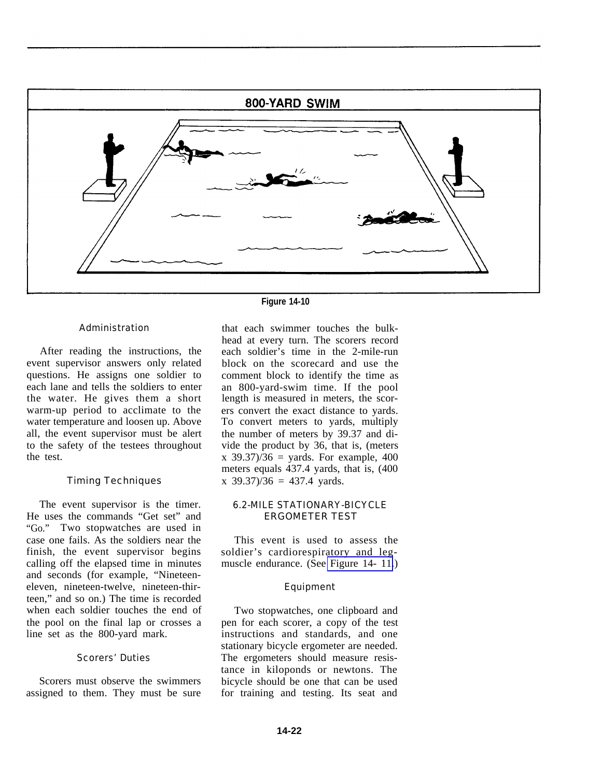<span id="page-21-0"></span>

event supervisor answers only related block on the scorecard and use the questions. He assigns one soldier to each lane and tells the soldiers to enter the water. He gives them a short warm-up period to acclimate to the water temperature and loosen up. Above all, the event supervisor must be alert to the safety of the testees throughout the test.

# Timing Techniques

The event supervisor is the timer. He uses the commands "Get set" and "Go." Two stopwatches are used in case one fails. As the soldiers near the finish, the event supervisor begins calling off the elapsed time in minutes and seconds (for example, "Nineteeneleven, nineteen-twelve, nineteen-thirteen," and so on.) The time is recorded when each soldier touches the end of the pool on the final lap or crosses a line set as the 800-yard mark.

# Scorers' Duties

Scorers must observe the swimmers assigned to them. They must be sure

#### **Figure 14-10**

Administration that each swimmer touches the bulkhead at every turn. The scorers record After reading the instructions, the each soldier's time in the 2-mile-run comment block to identify the time as an 800-yard-swim time. If the pool length is measured in meters, the scorers convert the exact distance to yards. To convert meters to yards, multiply the number of meters by 39.37 and divide the product by 36, that is, (meters x  $39.37$ / $36 =$  yards. For example, 400 meters equals 437.4 yards, that is, (400  $x \frac{39.37}{36} = 437.4$  yards.

# 6.2-MILE STATIONARY-BICYCLE ERGOMETER TEST

This event is used to assess the soldier's cardiorespiratory and legmuscle endurance. (See [Figure 14- 11.](#page-22-0))

#### Equipment

Two stopwatches, one clipboard and pen for each scorer, a copy of the test instructions and standards, and one stationary bicycle ergometer are needed. The ergometers should measure resistance in kiloponds or newtons. The bicycle should be one that can be used for training and testing. Its seat and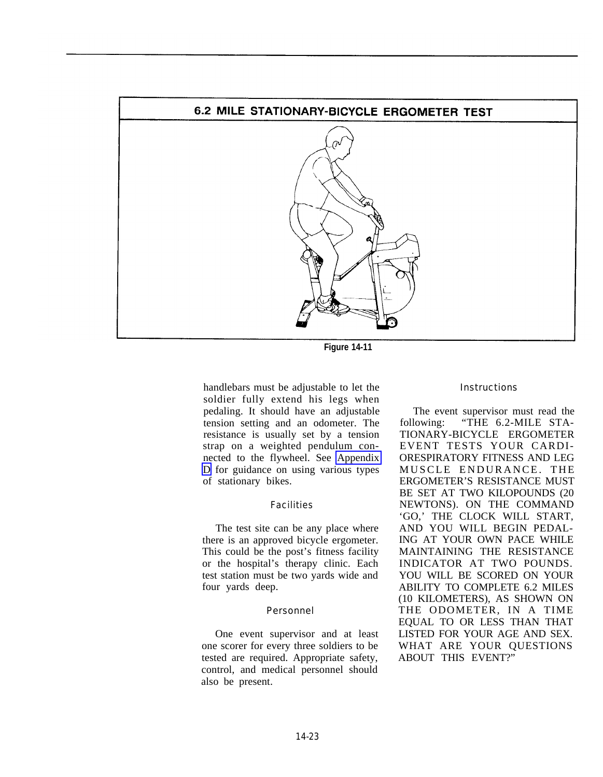<span id="page-22-0"></span>

**Figure 14-11**

handlebars must be adjustable to let the **Instructions** soldier fully extend his legs when pedaling. It should have an adjustable tension setting and an odometer. The resistance is usually set by a tension strap on a weighted pendulum connected to the flywheel. See [Appendix](#page-0-0) [D](#page-0-0) for guidance on using various types of stationary bikes.

# **Facilities**

The test site can be any place where there is an approved bicycle ergometer. This could be the post's fitness facility or the hospital's therapy clinic. Each test station must be two yards wide and four yards deep.

# Personnel

One event supervisor and at least one scorer for every three soldiers to be tested are required. Appropriate safety, control, and medical personnel should also be present.

The event supervisor must read the following: "THE 6.2-MILE STA-TIONARY-BICYCLE ERGOMETER EVENT TESTS YOUR CARDI-ORESPIRATORY FITNESS AND LEG MUSCLE ENDURANCE. THE ERGOMETER'S RESISTANCE MUST BE SET AT TWO KILOPOUNDS (20 NEWTONS). ON THE COMMAND 'GO,' THE CLOCK WILL START, AND YOU WILL BEGIN PEDAL-ING AT YOUR OWN PACE WHILE MAINTAINING THE RESISTANCE INDICATOR AT TWO POUNDS. YOU WILL BE SCORED ON YOUR ABILITY TO COMPLETE 6.2 MILES (10 KILOMETERS), AS SHOWN ON THE ODOMETER, IN A TIME EQUAL TO OR LESS THAN THAT LISTED FOR YOUR AGE AND SEX. WHAT ARE YOUR QUESTIONS ABOUT THIS EVENT?"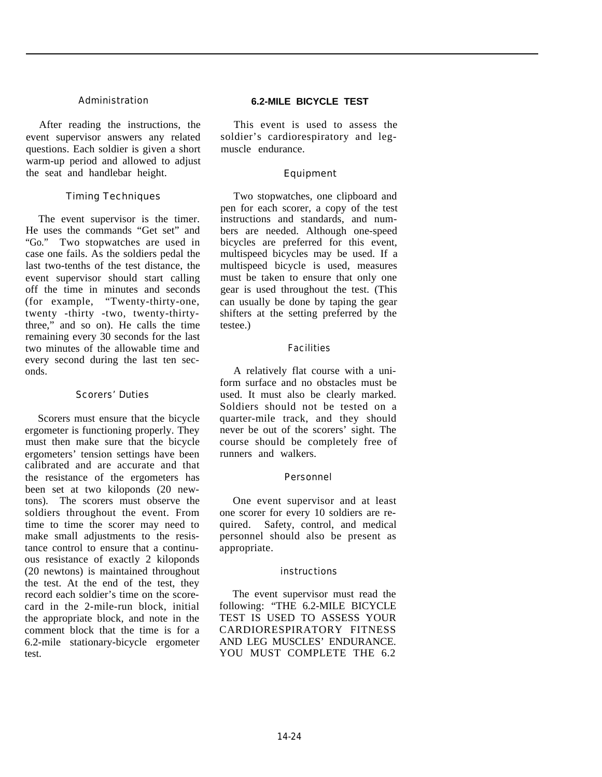# Administration

After reading the instructions, the event supervisor answers any related questions. Each soldier is given a short warm-up period and allowed to adjust the seat and handlebar height.

# Timing Techniques

The event supervisor is the timer. He uses the commands "Get set" and "Go." Two stopwatches are used in case one fails. As the soldiers pedal the last two-tenths of the test distance, the event supervisor should start calling off the time in minutes and seconds (for example, "Twenty-thirty-one, twenty -thirty -two, twenty-thirtythree," and so on). He calls the time remaining every 30 seconds for the last two minutes of the allowable time and every second during the last ten seconds.

### Scorers' Duties

Scorers must ensure that the bicycle ergometer is functioning properly. They must then make sure that the bicycle ergometers' tension settings have been calibrated and are accurate and that the resistance of the ergometers has been set at two kiloponds (20 newtons). The scorers must observe the soldiers throughout the event. From time to time the scorer may need to make small adjustments to the resistance control to ensure that a continuous resistance of exactly 2 kiloponds (20 newtons) is maintained throughout the test. At the end of the test, they record each soldier's time on the scorecard in the 2-mile-run block, initial the appropriate block, and note in the comment block that the time is for a 6.2-mile stationary-bicycle ergometer test.

# **6.2-MILE BICYCLE TEST**

This event is used to assess the soldier's cardiorespiratory and legmuscle endurance.

# Equipment

Two stopwatches, one clipboard and pen for each scorer, a copy of the test instructions and standards, and numbers are needed. Although one-speed bicycles are preferred for this event, multispeed bicycles may be used. If a multispeed bicycle is used, measures must be taken to ensure that only one gear is used throughout the test. (This can usually be done by taping the gear shifters at the setting preferred by the testee.)

# Facilities

A relatively flat course with a uniform surface and no obstacles must be used. It must also be clearly marked. Soldiers should not be tested on a quarter-mile track, and they should never be out of the scorers' sight. The course should be completely free of runners and walkers.

### Personnel

One event supervisor and at least one scorer for every 10 soldiers are required. Safety, control, and medical personnel should also be present as appropriate.

### instructions

The event supervisor must read the following: "THE 6.2-MILE BICYCLE TEST IS USED TO ASSESS YOUR CARDIORESPIRATORY FITNESS AND LEG MUSCLES' ENDURANCE. YOU MUST COMPLETE THE 6.2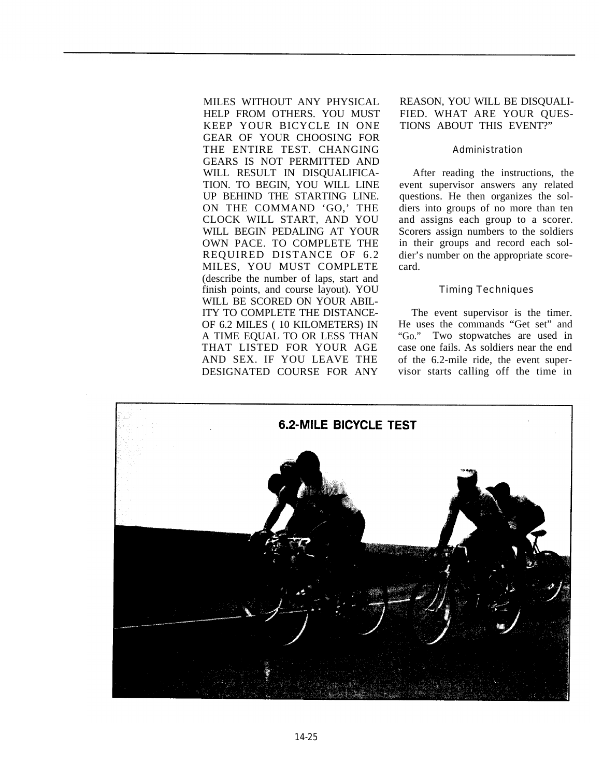MILES WITHOUT ANY PHYSICAL HELP FROM OTHERS. YOU MUST KEEP YOUR BICYCLE IN ONE GEAR OF YOUR CHOOSING FOR THE ENTIRE TEST. CHANGING GEARS IS NOT PERMITTED AND WILL RESULT IN DISQUALIFICA-TION. TO BEGIN, YOU WILL LINE UP BEHIND THE STARTING LINE. ON THE COMMAND 'GO,' THE CLOCK WILL START, AND YOU WILL BEGIN PEDALING AT YOUR OWN PACE. TO COMPLETE THE REQUIRED DISTANCE OF 6.2 MILES, YOU MUST COMPLETE (describe the number of laps, start and finish points, and course layout). YOU WILL BE SCORED ON YOUR ABIL-ITY TO COMPLETE THE DISTANCE-OF 6.2 MILES ( 10 KILOMETERS) IN A TIME EQUAL TO OR LESS THAN THAT LISTED FOR YOUR AGE AND SEX. IF YOU LEAVE THE DESIGNATED COURSE FOR ANY

REASON, YOU WILL BE DISQUALI-FIED. WHAT ARE YOUR QUES-TIONS ABOUT THIS EVENT?"

#### Administration

After reading the instructions, the event supervisor answers any related questions. He then organizes the soldiers into groups of no more than ten and assigns each group to a scorer. Scorers assign numbers to the soldiers in their groups and record each soldier's number on the appropriate scorecard.

# Timing Techniques

The event supervisor is the timer. He uses the commands "Get set" and "Go." Two stopwatches are used in case one fails. As soldiers near the end of the 6.2-mile ride, the event supervisor starts calling off the time in

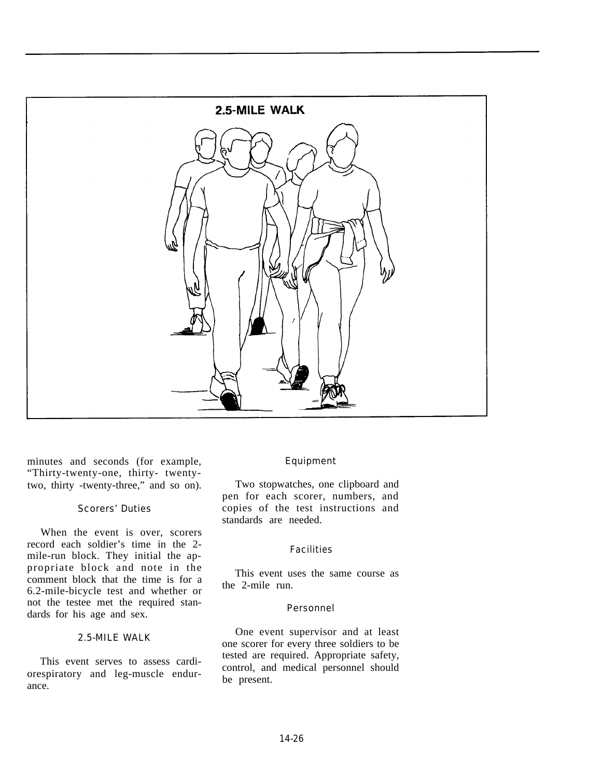

minutes and seconds (for example, "Thirty-twenty-one, thirty- twentytwo, thirty -twenty-three," and so on).

# Scorers' Duties

When the event is over, scorers record each soldier's time in the 2 mile-run block. They initial the appropriate block and note in the comment block that the time is for a 6.2-mile-bicycle test and whether or not the testee met the required standards for his age and sex.

# 2.5-MILE WALK

This event serves to assess cardiorespiratory and leg-muscle endurance.

# Equipment

Two stopwatches, one clipboard and pen for each scorer, numbers, and copies of the test instructions and standards are needed.

# Facilities

This event uses the same course as the 2-mile run.

# Personnel

One event supervisor and at least one scorer for every three soldiers to be tested are required. Appropriate safety, control, and medical personnel should be present.